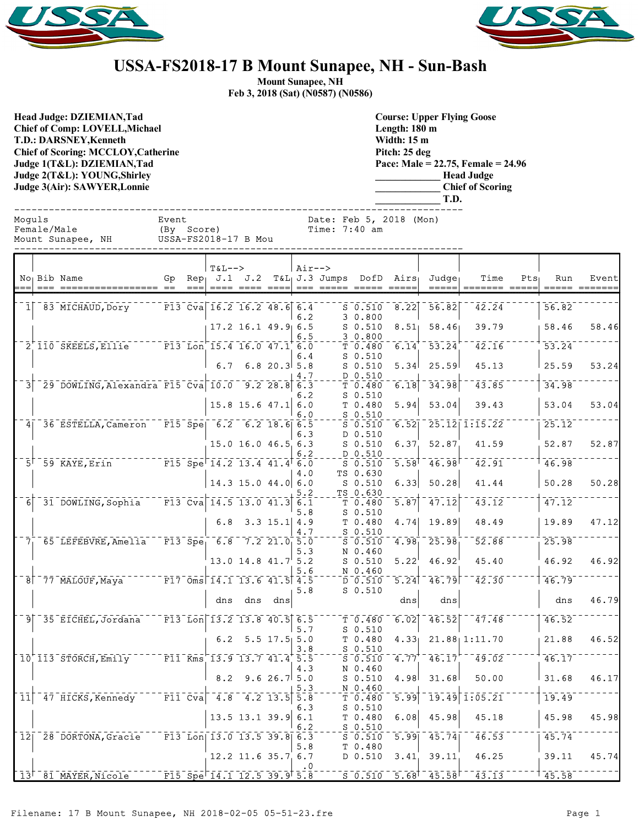



## **USSA-FS2018-17 B Mount Sunapee, NH - Sun-Bash**

**Mount Sunapee, NH Feb 3, 2018 (Sat) (N0587) (N0586)**

**Head Judge: DZIEMIAN,Tad Chief of Comp: LOVELL,Michael T.D.: DARSNEY,Kenneth Chief of Scoring: MCCLOY,Catherine Judge 1(T&L): DZIEMIAN,Tad Judge 2(T&L): YOUNG,Shirley Judge 3(Air): SAWYER,Lonnie** 

**Course: Upper Flying Goose Length: 180 m Width: 15 m Pitch: 25 deg Pace: Male = 22.75, Female = 24.96 \_\_\_\_\_\_\_\_\_\_\_\_\_ Head Judge \_\_\_\_\_\_\_\_\_\_\_\_\_ Chief of Scoring \_\_\_\_\_\_\_\_\_\_\_\_\_ T.D.**

| Moquls | <br>Female/Male<br>Mount Sunapee, NH USSA-FS2018-17 B Mou    | Event | (By Score)           |                                   |                | Date: Feb 5, 2018 (Mon)<br>Time: $7:40$ am |                                                                                  |                   |                                                             |                                                                                                                                                                                                                                                                                                                                                                                                                                             |         |                    |       |
|--------|--------------------------------------------------------------|-------|----------------------|-----------------------------------|----------------|--------------------------------------------|----------------------------------------------------------------------------------|-------------------|-------------------------------------------------------------|---------------------------------------------------------------------------------------------------------------------------------------------------------------------------------------------------------------------------------------------------------------------------------------------------------------------------------------------------------------------------------------------------------------------------------------------|---------|--------------------|-------|
|        | No <sub>1</sub> Bib Name                                     |       | <b>T&amp;L--&gt;</b> |                                   | $\vert$ Air--> |                                            |                                                                                  |                   | Gp Rep J.1 J.2 T&L J.3 Jumps DofD Airs Judge<br>$= = = = =$ | Time<br>$\begin{array}{cccccc} \texttt{m} & \texttt{m} & \texttt{m} & \texttt{m} & \texttt{m} & \texttt{m} & \texttt{m} & \texttt{m} & \texttt{m} & \texttt{m} & \texttt{m} & \texttt{m} & \texttt{m} & \texttt{m} & \texttt{m} & \texttt{m} & \texttt{m} & \texttt{m} & \texttt{m} & \texttt{m} & \texttt{m} & \texttt{m} & \texttt{m} & \texttt{m} & \texttt{m} & \texttt{m} & \texttt{m} & \texttt{m} & \texttt{m} & \texttt{m} & \text$ | $Pts_1$ | Run                | Event |
|        |                                                              |       |                      |                                   | 6.2            |                                            | S 0.510 8.22<br>30.800                                                           |                   | 56.82                                                       | 42.24                                                                                                                                                                                                                                                                                                                                                                                                                                       |         | 56.82              |       |
|        |                                                              |       |                      | $17.2$ 16.1 49.9 6.5              | 6.5            | $-$ - $  \frac{3}{2}$ $ \frac{0.800}{2}$   | $S$ 0.510                                                                        |                   | $8.51$ $58.46$                                              | 39.79                                                                                                                                                                                                                                                                                                                                                                                                                                       |         | 58.46              | 58.46 |
|        | 2 110 SKEELS, Ellie F13 Lon 15.4 16.0 47.1 6.0               |       |                      |                                   | 6.4            |                                            | $S_0.510$                                                                        |                   | T 0.480 6.14 53.24                                          | $\overline{42.16}$                                                                                                                                                                                                                                                                                                                                                                                                                          |         | $\overline{53.24}$ |       |
|        |                                                              |       |                      | 6.7 6.8 20.3 5.8                  | 4.7            |                                            | $S$ 0.510<br>$- - \frac{D}{m} - \frac{0}{2} - \frac{510}{2}$                     |                   | $5.34$ 25.59                                                | 45.13                                                                                                                                                                                                                                                                                                                                                                                                                                       |         | 25.59              | 53.24 |
|        | 3 29 DOWLING, Alexandra F15 Cva 10.0 9.2 28.8 6.3            |       |                      |                                   | 6.2            |                                            | T 0.480<br>$S_0.510$                                                             | 6.18              | 34.98                                                       | $\overline{43.85}$                                                                                                                                                                                                                                                                                                                                                                                                                          |         | 34.98              |       |
|        |                                                              |       |                      | $15.8$ 15.6 47.1 6.0              | 6.0            |                                            | $T$ 0.480<br>$S$ 0.510                                                           | 5.94              | 53.04                                                       | 39.43                                                                                                                                                                                                                                                                                                                                                                                                                                       |         | 53.04              | 53.04 |
|        | 4 36 ESTELLA, Cameron F15 Spe 6.2 6.2 18.6 6.5               |       |                      |                                   | 6.3            |                                            | S 0.510<br>D 0.510                                                               |                   |                                                             | $6.52$ $25.12$ $1:15.22$                                                                                                                                                                                                                                                                                                                                                                                                                    |         | 25.12              |       |
|        |                                                              |       |                      | 15.0 16.0 46.5 6.3                | 6.2            |                                            | $S$ $0.510$<br>D 0.510                                                           |                   | 6.37, 52.87                                                 | 41.59                                                                                                                                                                                                                                                                                                                                                                                                                                       |         | 52.87              | 52.87 |
|        | $F15$ $Spe$ $14.2$ $13.4$ $41.4$ $6.0$<br>$51$ 59 KAYE, Erin |       |                      |                                   | 4.0            |                                            | S 0.510<br>TS 0.630                                                              |                   |                                                             | $5.58$ <sup>1</sup> $46.98$ <sup>1</sup> $42.91$                                                                                                                                                                                                                                                                                                                                                                                            |         | 146.98             |       |
|        |                                                              |       |                      | $14.3$ 15.0 44.0 6.0              | 5.2            |                                            | $S$ $0.510$<br>TS 0.630                                                          | 6.33              | 50.28                                                       | 41.44                                                                                                                                                                                                                                                                                                                                                                                                                                       |         | 50.28              | 50.28 |
|        | $6^-31^-$ DOWLING, Sophia F13 Cva 14.5 13.0 41.3 6.1         |       |                      |                                   | 5.8            |                                            | $\bar{\tau}$ 0.480 $\bar{\tau}$<br>$S$ 0.510                                     | $\overline{5.87}$ | $\overline{47.12}$                                          | $\overline{43.12}$                                                                                                                                                                                                                                                                                                                                                                                                                          |         | 47.12              |       |
|        |                                                              |       |                      | $6.8$ 3.3 15.1 4.9                | 4.7            |                                            | T <sub>0.480</sub><br>$-50.510$                                                  |                   |                                                             | $4.74$ 19.89 48.49                                                                                                                                                                                                                                                                                                                                                                                                                          |         | 19.89              | 47.12 |
|        | $7^{+}_{1}$ 65 LEFEBVRE, Amelia F13 Spe 6.8 7.2 21.0 5.0     |       |                      |                                   | 5.3            |                                            | $\overline{\text{s}}$ $\overline{\text{0.510}}$ $\overline{\text{0}}$<br>N 0.460 |                   | $4.98 - 25.98$                                              | 52.88                                                                                                                                                                                                                                                                                                                                                                                                                                       |         | 25.98              |       |
|        |                                                              |       |                      | 13.0 14.8 $41.7$ <sup>1</sup> 5.2 | 5.6            |                                            | $S$ $0.510$<br>N 0.460                                                           | 5.22              | 46.92                                                       | 45.40                                                                                                                                                                                                                                                                                                                                                                                                                                       |         | 46.92              | 46.92 |
|        | $8^-77^-$ MALOUF, Maya $F17^-$ Oms 14.1 13.6 41.5 4.5        |       |                      |                                   | 5.8            |                                            | D 0.510<br>$S$ 0.510                                                             |                   | $5.24$ <sup>-46.79</sup>                                    | $\overline{42.30}$                                                                                                                                                                                                                                                                                                                                                                                                                          |         | 46.79              |       |
|        |                                                              |       |                      | dns dns dns                       |                |                                            |                                                                                  | dns               | dns                                                         |                                                                                                                                                                                                                                                                                                                                                                                                                                             |         | dns                | 46.79 |
|        | 9 35 EICHEL, Jordana F13 Lon 13.2 13.8 40.5 6.5              |       |                      |                                   | 5.7            |                                            | $T - T - 0.480$<br>$S_0.510$                                                     |                   |                                                             | $6.02$ $46.52$ $47.48$                                                                                                                                                                                                                                                                                                                                                                                                                      |         | 46.52              |       |
|        |                                                              |       |                      | $6.2$ 5.5 17.5 5.0                | 3.8            |                                            | T <sub>0.480</sub><br>$S$ 0.510                                                  |                   |                                                             | $4.33$ $21.88$ $1:11.70$                                                                                                                                                                                                                                                                                                                                                                                                                    |         | 21.88              | 46.52 |
|        | $10^{+}$ 113 STORCH, Emily F11 Kms 13.9 13.7 41.4 5.5        |       |                      |                                   | 4.3            |                                            | N 0.460                                                                          |                   |                                                             | $\overline{S}$ $\overline{0.510}$ $\overline{4.77}$ $\overline{46.17}$ $\overline{7}$ $\overline{49.02}$                                                                                                                                                                                                                                                                                                                                    |         | 46.17              |       |
|        |                                                              |       |                      | $8.2$ 9.6 26.7 5.0                | 5.3            |                                            | $S$ $0.510$<br>N 0.460                                                           |                   | $4.98$ $31.68$                                              | 50.00                                                                                                                                                                                                                                                                                                                                                                                                                                       |         | 31.68              | 46.17 |
|        | $11^-$ 47 HICKS, Kennedy T11 Cva 4.8 4.2 13.5 5.8            |       |                      |                                   | 6.3            |                                            | $\bar{\tau}$ $\bar{0}$ .480<br>$S$ 0.510                                         |                   |                                                             | $5.99$ <sup>-</sup> 19.49 1:05.21                                                                                                                                                                                                                                                                                                                                                                                                           |         | 19.49              |       |

12 28 DORTONA, Gracie F13 Lon 13.0 13.5 39.8 6.3  $-5.50$  5.99 45.74  $-46.53$   $-7.74$ <br>5.8  $\sigma$  0.480

 $\mathbf{.0}$  $13^{\dagger}$  81 MAYER, Nicole F15 Spe 14.1 12.5 39.9  $5.\bar{8}$   $5.\bar{6}$   $0.510$   $5.\bar{6}$   $8^{\dagger}$   $45.\bar{5}8$   $43.\bar{13}$ 

 $50.510$ <br>T 0.480

 $\frac{5}{5} - \frac{0.510}{0.510}$ 

5.8 T 0.480

13.5 13.1 39.9 6.1 T 0.480 6.08 45.98 45.18 45.98 45.98

12.2 11.6 35.7 6.7 D 0.510 3.41 39.11 46.25 39.11 45.74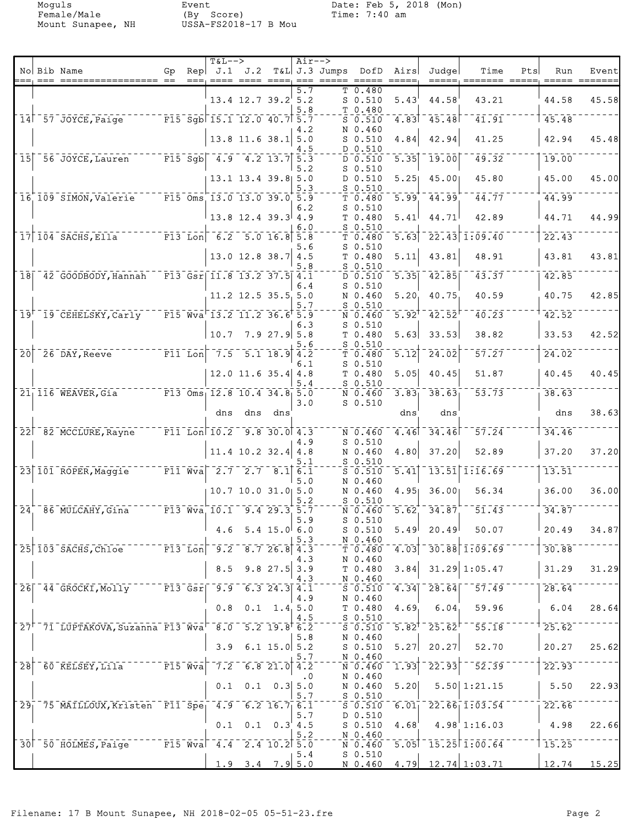Female/Male (By Score) Time: 7:40 am Mount Sunapee, NH USSA-FS2018-17 B Mou

|                  | No Bib Name                                                                                  | Gp | <b>T&amp;L--&gt;</b>                                            |                            |                               | $Air--$    | Rep $J.1$ $J.2$ T&L J.3 Jumps DofD Airs<br>===, ==== ==== ====, === ===== === |                                 |                   | Judge                                | Time<br>=====, ======= =====, ===== ===                                                                          | Pts | Run                | Event |
|------------------|----------------------------------------------------------------------------------------------|----|-----------------------------------------------------------------|----------------------------|-------------------------------|------------|-------------------------------------------------------------------------------|---------------------------------|-------------------|--------------------------------------|------------------------------------------------------------------------------------------------------------------|-----|--------------------|-------|
|                  |                                                                                              |    |                                                                 | $13.4$ $12.7$ $39.2$ $5.2$ |                               | 5.7<br>5.8 |                                                                               | T 0.480<br>$S$ 0.510<br>T 0.480 | 5.43'             | 44.58                                | 43.21                                                                                                            |     | 44.58              | 45.58 |
|                  | 14 57 JOYCE, Paige FI5 Sgb 15.1 12.0 40.7 5.7                                                |    |                                                                 |                            |                               |            |                                                                               | $S$ 0.510<br>N 0.460            |                   | $4.83$ <sup>-</sup> $45.48$          | $\overline{41.91}$                                                                                               |     | 45.48              |       |
|                  |                                                                                              |    |                                                                 | $13.8$ 11.6 38.1           |                               | 4.2<br>5.0 |                                                                               | $S$ 0.510                       | 4.84              | 42.94                                | 41.25                                                                                                            |     | 42.94              | 45.48 |
|                  | 15 56 JOYCE, Lauren F15 Sgb 4.9 4.2 13.7 5.3                                                 |    |                                                                 |                            |                               | 4.5        |                                                                               | D 0.510<br>D 0.510              |                   | $\overline{5.35}$ 19.00              | 49.32                                                                                                            |     | 19.00              |       |
|                  |                                                                                              |    |                                                                 | 13.1 13.4 39.8 5.0         |                               | 5.2        |                                                                               | $S_0.510$<br>D 0.510            | 5.25              | 45.00                                | 45.80                                                                                                            |     | 45.00              | 45.00 |
|                  | 16 109 SIMON, Valerie                                                                        |    | $\overline{F15}$ Oms 13.0 13.0 39.0 5.9                         |                            |                               | 5.3        |                                                                               | $S$ 0.510<br>T 0.480            | 5.99              | 44.99                                | 44.77                                                                                                            |     | 44.99              |       |
|                  |                                                                                              |    |                                                                 | $13.8$ 12.4 39.3 4.9       |                               | 6.2        |                                                                               | $S$ 0.510<br>T 0.480            | 5.41              | 44.71                                | 42.89                                                                                                            |     | 44.71              | 44.99 |
|                  | $17 104$ SACHS, Ella $-$ F13 Lon 6.2 5.0 16.8 5.8                                            |    |                                                                 |                            |                               | 6.0        |                                                                               | $S_0.510$<br>T 0.480            | 5.63              |                                      | $\overline{22.43}$ $\overline{1.09.40}$                                                                          |     | 22.43              |       |
|                  |                                                                                              |    |                                                                 | $13.0$ 12.8 38.7 4.5       |                               | 5.6        |                                                                               | $S$ 0.510<br>T 0.480            | 5.11              | 43.81                                | 48.91                                                                                                            |     | 43.81              | 43.81 |
|                  | 18 42 GOODBODY, Hannah F13 Gsr 11.8 13.2 37.5 4.1                                            |    |                                                                 |                            |                               | 5.8        |                                                                               | $S$ 0.510<br>D 0.510            | $\overline{5.35}$ | $-42.85$                             | $\overline{43.37}$                                                                                               |     | 742.85             |       |
|                  |                                                                                              |    |                                                                 | $11.2$ 12.5 35.5 5.0       |                               | 6.4        |                                                                               | $S$ 0.510                       |                   | 40.75                                | 40.59                                                                                                            |     | 40.75              | 42.85 |
|                  |                                                                                              |    |                                                                 |                            |                               | 5.7        |                                                                               | N 0.460<br>$S_0.510$            | 5.20              |                                      |                                                                                                                  |     |                    |       |
|                  | 19 <sup><math>-</math></sup> 19 <sup>-</sup> CEHELSKY, Carly                                 |    | $^{-}$ F15 Wva 13.2 11.2 36.6 5.9                               |                            |                               | 6.3        |                                                                               | N 0.460<br>$S$ 0.510            | $5.92^{T}$        | $\bar{4}\bar{2}\cdot 5\bar{2}$       | 40.23                                                                                                            |     | 42.52              |       |
|                  |                                                                                              |    | 10.7                                                            |                            | 7.927.95.8                    | 5.6        |                                                                               | T 0.480<br>$S$ 0.510            | 5.63              | 33.53                                | 38.82                                                                                                            |     | 33.53              | 42.52 |
| $\bar{2}\bar{0}$ | $T = 7.5 - 5.1 - 18.9$ $4.2$<br>$-26$ DAY, Reeve                                             |    |                                                                 |                            |                               | 6.1        |                                                                               | T 0.480<br>$S$ 0.510            | $\overline{5.12}$ | $\bar{24.02}$                        | 57.27                                                                                                            |     | 24.02              |       |
|                  |                                                                                              |    |                                                                 | $12.0$ 11.6 35.4 4.8       |                               | 5.4        |                                                                               | T 0.480<br>$S$ 0.510            | 5.05              | 40.45                                | 51.87                                                                                                            |     | 40.45              | 40.45 |
|                  | 21 116 WEAVER, Gia F13 Oms 12.8 10.4 34.8 5.0                                                |    |                                                                 |                            |                               | 3.0        |                                                                               | N 0.460<br>$S$ 0.510            | 3.83              | 38.63                                | 53.73                                                                                                            |     | 38.63              |       |
|                  |                                                                                              |    |                                                                 | dns dns dns                |                               |            |                                                                               |                                 | dns               | dns                                  |                                                                                                                  |     | dns                | 38.63 |
|                  | 22 82 MCCLURE, Rayne                                                                         |    | $\overline{F11}$ Lon 10.2 9.8 30.0 4.3                          |                            |                               | 4.9        |                                                                               | N 0.460<br>$S$ 0.510            |                   | $4.46$ <sup>-34.46</sup>             | 57.24                                                                                                            |     | 34.46              |       |
|                  |                                                                                              |    |                                                                 | $11.4$ 10.2 32.4           |                               | 4.8        |                                                                               | N 0.460                         | 4.80              | 37.20                                | 52.89                                                                                                            |     | 37.20              | 37.20 |
|                  | 23 101 ROPER, Maggie F11 Wva 2.7 2.7 8.1 6.1                                                 |    |                                                                 |                            |                               | 5.1        |                                                                               | $S_0.510$<br>$S_0.510$          |                   |                                      | $5.41$ <sup>-</sup> 13.51 1:16.69                                                                                |     | $\overline{13.51}$ |       |
|                  |                                                                                              |    |                                                                 | $10.7$ 10.0 31.0 5.0       |                               | 5.0        |                                                                               | N 0.460<br>N 0.460              | 4.95              | 36.00                                | 56.34                                                                                                            |     | 36.00              | 36.00 |
| $\bar{2}\bar{4}$ | 86 MULCAHY, Gina                                                                             |    | $   \overline{F13}$ $\overline{Wv}$ a $-10.1$ $-9.4$ 29.3 $5.7$ |                            |                               | 5.2        |                                                                               | $S$ 0.510<br>N 0.460            |                   | $5.62 - 34.87$                       | $\overline{51.43}$                                                                                               |     | 34.87              |       |
|                  |                                                                                              |    |                                                                 | 4.6 5.4 15.0 6.0           |                               | 5.9        |                                                                               | $S$ 0.510<br>$S_0.510$          |                   | $5.49$ 20.49                         | 50.07                                                                                                            |     | 20.49              | 34.87 |
|                  | 25 103 SACHS, Chloe F13 Lon 9.2 8.7 26.8 4.3                                                 |    |                                                                 |                            |                               | 5.3        |                                                                               | N 0.460<br>T <sub>0.480</sub>   |                   |                                      | $-4.03$ $-30.88$ $1.09.69$                                                                                       |     | 30.88              |       |
|                  |                                                                                              |    | 8.5                                                             |                            | $9.8$ 27.5 3.9                | 4.3        |                                                                               | N 0.460<br>$T$ 0.480            | 3.84              |                                      | $31.29 \mid 1:05.47$                                                                                             |     | 31.29              | 31.29 |
|                  | 26 44 GROCKI, Molly F13 Gsr 9.9 6.3 24.3 4.1                                                 |    |                                                                 |                            |                               | 4.3        |                                                                               | N 0.460<br>$S = 0.510$          |                   |                                      | $4.34$ <sup>-</sup> 28.64 <sup>--</sup> 57.49                                                                    |     | 28.64              |       |
|                  |                                                                                              |    | 0.8                                                             |                            | $0.1 \quad 1.4 \quad 5.0$     | 4.9        |                                                                               | N 0.460<br>$T$ 0.480            | 4.69              | 6.04                                 | 59.96                                                                                                            |     | 6.04               | 28.64 |
|                  | 27 <sup>+ -</sup> 71 LUPTAKOVA, Suzanna F13 Wva <sup>-</sup> 8.0 - 5.2 19.8 <sup>+</sup> 6.2 |    |                                                                 |                            |                               | 4.5        |                                                                               | $S_0.510$                       |                   |                                      | $\overline{5.82}^+$ $\overline{25.62}$ $\overline{5.18}$                                                         |     | 25.62              |       |
|                  |                                                                                              |    |                                                                 |                            |                               | 5.8        |                                                                               | S 0.510<br>N 0.460              |                   |                                      |                                                                                                                  |     |                    |       |
|                  |                                                                                              |    | 3.9                                                             |                            | 6.1 15.0 $5.2$                | 5.7        |                                                                               | S 0.510<br>N 0.460              |                   | $5.27$ 20.27                         | 52.70                                                                                                            |     | 20.27              | 25.62 |
| $\overline{28}$  | $\overline{60}$ KELSEY, Lila $\overline{15}$ F15 Wva $\overline{7.2}$ 6.8 21.0 4.2           |    |                                                                 |                            |                               | $\cdot$ 0  |                                                                               | N 0.460<br>N 0.460              |                   | $\overline{1.93}$ $\overline{22.93}$ | $-52.39$                                                                                                         |     | 22.93              |       |
|                  |                                                                                              |    | 0.1                                                             |                            | $0.1 \quad 0.3 \mid 5.0$      | 5.7        |                                                                               | N 0.460<br>$S_0.510$            | 5.20              |                                      | 5.50   1:21.15                                                                                                   |     | 5.50               | 22.93 |
|                  | 29 75 MAILLOUX, Kristen F11 Spe 4.9 6.2 16.7 6.1                                             |    |                                                                 |                            |                               | 5.7        |                                                                               | D 0.510                         |                   |                                      | $\overline{S}\,\overline{0.510}\,\overline{0.01_1}\,\overline{22.66_1}\,\overline{1.03.54}\,\overline{0.01_1}\,$ |     | 22.66              |       |
|                  |                                                                                              |    | 0.1                                                             |                            | $0.1 \quad 0.3^{\dagger} 4.5$ | 5.2        |                                                                               | S <sub>0.510</sub><br>N 0.460   | 4.68              |                                      | 4.98 1:16.03                                                                                                     |     | 4.98               | 22.66 |
|                  | 30 50 HOLMES, Paige F15 Wva 4.4 2.4 10.2 5.0                                                 |    |                                                                 |                            |                               | 5.4        |                                                                               | $S_0.510$                       |                   |                                      | $\sqrt{N}$ 0.460 $\sqrt{5.05}$ 15.25 1.00.64                                                                     |     | 115.25             |       |
|                  |                                                                                              |    |                                                                 | 1.9 3.4 7.9 5.0            |                               |            |                                                                               | N 0.460                         |                   |                                      | $4.79$ 12.74 1:03.71                                                                                             |     | 12.74              | 15.25 |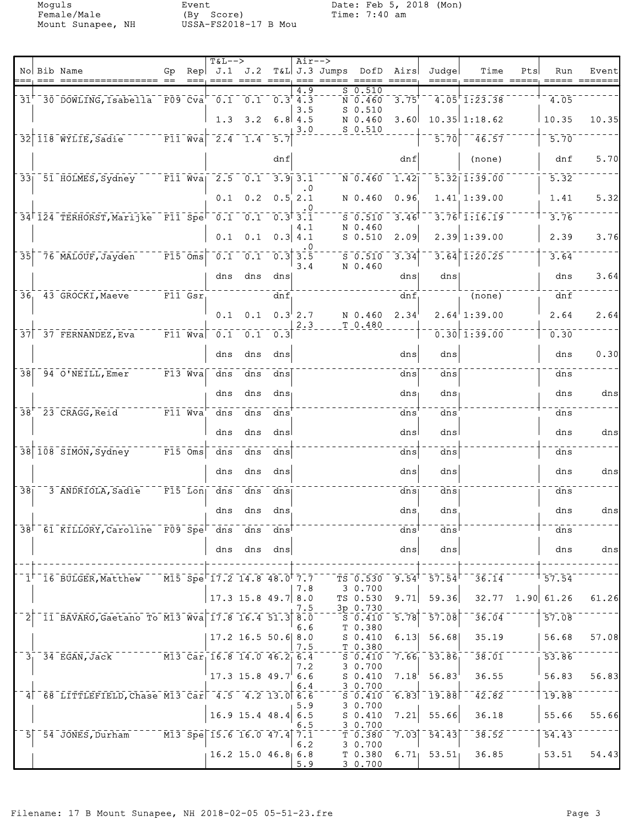Female/Male (By Score) Time: 7:40 am Mount Sunapee, NH USSA-FS2018-17 B Mou

|                  | No Bib Name                                                                                               | Gp.                                                                                                                                       | Rep<br>$==$ | <b>T&amp;L--&gt;</b>        |                                         |                                   | $Air--$ | <u>---- ---- ---- --- ----- -----</u> | J.1 J.2 T&L J.3 Jumps DofD Airs                            |                           | Judge                     | Time                                   | Pts | Run                                      | Event |
|------------------|-----------------------------------------------------------------------------------------------------------|-------------------------------------------------------------------------------------------------------------------------------------------|-------------|-----------------------------|-----------------------------------------|-----------------------------------|---------|---------------------------------------|------------------------------------------------------------|---------------------------|---------------------------|----------------------------------------|-----|------------------------------------------|-------|
|                  | $31^{\circ}$ 30 DOWLING, Isabella F09 Cva <sup>-</sup> 0.1 0.1 0.3 4.3                                    |                                                                                                                                           |             |                             |                                         |                                   | 4.9     |                                       | 50.510<br>$\bar{N}$ $\bar{0}$ , $\bar{4}$ 60 $\bar{0}$     | 3.75                      |                           | $\overline{4.05}$ $\overline{1.23.38}$ |     | 4.05                                     |       |
|                  |                                                                                                           |                                                                                                                                           |             | 1.3                         |                                         | $3.2 \quad 6.8$ 4.5               | 3.5     |                                       | $S_0.510$<br>N 0.460                                       | 3.60                      |                           | $10.35$ 1:18.62                        |     | 10.35                                    | 10.35 |
|                  | 32 118 WYLIE, Sadie Fill Wva 2.4 1.4 5.7                                                                  |                                                                                                                                           |             |                             |                                         |                                   | 3.0     |                                       | $S_0.510$                                                  |                           | 5.70                      | $-46.57$                               |     | 5.70                                     |       |
|                  |                                                                                                           |                                                                                                                                           |             |                             |                                         | dnf                               |         |                                       |                                                            | dnf                       |                           | (none)                                 |     | dnf                                      | 5.70  |
|                  | 33 51 HOLMES, Sydney F11 Wva 2.5 0.1 3.9 3.1                                                              |                                                                                                                                           |             |                             |                                         |                                   |         |                                       | N 0.460                                                    | 1.42                      |                           | $\overline{5.32}$   1:39.00            |     | 5.32                                     |       |
|                  |                                                                                                           |                                                                                                                                           |             | 0.1                         |                                         | $0.2 \quad 0.5 \quad 2.1$         |         |                                       | N 0.460                                                    | 0.96                      |                           | $1.41$ 1:39.00                         |     | 1.41                                     | 5.32  |
|                  | 34 124 TERHORST, Marijke F11 Spe 0.1 0.1 0.3 3.1                                                          |                                                                                                                                           |             |                             |                                         |                                   | 4.1     |                                       | 50.510<br>N 0.460                                          | 3.46                      |                           | $3.76$ <sup>T</sup> $1.16.19$          |     | 3.76                                     |       |
|                  |                                                                                                           |                                                                                                                                           |             | 0.1                         |                                         | $0.1 \quad 0.3 \, 4.1$            |         |                                       | $S$ 0.510                                                  | 2.09                      |                           | $2.39 \mid 1:39.00$                    |     | 2.39                                     | 3.76  |
|                  | 35 76 MALOUF, Jayden F15 Oms                                                                              |                                                                                                                                           |             |                             | $-0.1 - 0.1 - 0.3$ 3.5                  |                                   | 3.4     |                                       | $\overline{\text{s}}$ $\overline{\text{0.510}}$<br>N 0.460 | 3.34                      |                           | $3.64$ 1:20.25                         |     | 3.64                                     |       |
|                  |                                                                                                           |                                                                                                                                           |             |                             | dns dns                                 | dns                               |         |                                       |                                                            | dns                       | dns                       |                                        |     | dns                                      | 3.64  |
|                  | $36-$ 43 GROCKI, Maeve $F11 - GST$                                                                        |                                                                                                                                           |             |                             |                                         | dnf                               |         |                                       |                                                            | dnf                       |                           | $\overline{(\text{none})}$             |     | dnf                                      |       |
|                  |                                                                                                           |                                                                                                                                           |             |                             | $0.1 \quad 0.1 \quad 0.3^{\dagger} 2.7$ |                                   | 2.3     |                                       | N 0.460<br>T 0.480                                         | 2.34                      |                           | $2.64$ <sup>1</sup> : 39.00            |     | 2.64                                     | 2.64  |
|                  | $37$ $-37$ FERNANDEZ, Eva                                                                                 | $\overline{\mathbf{r}^{\top} \mathbf{F} 1}$ $\overline{\mathbf{v}}$ $\mathbf{v}$ $\mathbf{a}$ $\overline{\mathbf{r}^{\top} \mathbf{F} 1}$ |             | $\overline{\overline{0.1}}$ |                                         | $\overline{0.1}$ $\overline{0.3}$ |         |                                       |                                                            |                           |                           | $0.30$ $1.39.00$                       |     | 0.30                                     |       |
|                  |                                                                                                           |                                                                                                                                           |             | dns                         | dns                                     | dns                               |         |                                       |                                                            | dns                       | dns                       |                                        |     | dns                                      | 0.30  |
|                  | $38$ $\sqrt{94}$ $\sqrt{0}$ NEILL, Emer $\sqrt{94}$ F13 Wva                                               |                                                                                                                                           |             | $\overline{dns}$            | $\overline{d}$ ns                       | dns                               |         |                                       |                                                            | dnsl                      | dns                       |                                        |     | dns                                      |       |
|                  |                                                                                                           |                                                                                                                                           |             | dns                         | dns                                     | ans <sub>1</sub>                  |         |                                       |                                                            | $dns_1$                   | dns                       |                                        |     | dns                                      | dns   |
|                  | 38 23 CRAGG, Reid F11 Wva                                                                                 |                                                                                                                                           |             | dns                         | dns                                     | dns'                              |         |                                       |                                                            | dns                       | dns                       |                                        |     | dns                                      |       |
|                  | 38 108 SIMON, Sydney F15 Oms                                                                              |                                                                                                                                           |             | dns<br>dns                  | dns<br>dns                              | dns<br>dns                        |         |                                       |                                                            | dnsl<br>dns               | dns<br>dns                |                                        |     | dns<br>dns                               | dns   |
|                  |                                                                                                           |                                                                                                                                           |             | dns                         | dns                                     | dns                               |         |                                       |                                                            | dns                       | dns                       |                                        |     | dns                                      | dns   |
| $\bar{3}\bar{8}$ | 3 ANDRIOLA, Sadie                                                                                         | $^{-}$ F15 $^{-}$ Lon $^{-}$                                                                                                              |             | $\bar{d}$ ns                | dns                                     | dns                               |         |                                       |                                                            | dns                       | dns                       |                                        |     | dns                                      |       |
|                  |                                                                                                           |                                                                                                                                           |             | dns                         | dns                                     | dns.                              |         |                                       |                                                            | dns.                      | dns                       |                                        |     | dns                                      | dns   |
|                  | 38 <sup>-61</sup> KILLORY, Caroline F09 Spe <sup>-4</sup> dns dns dns <sup>+</sup>                        |                                                                                                                                           |             |                             |                                         |                                   |         |                                       |                                                            | dns                       | dns                       |                                        |     | dns                                      |       |
|                  |                                                                                                           |                                                                                                                                           |             | dns                         | dns                                     | dns                               |         |                                       |                                                            | dns                       | dns                       |                                        |     | dns                                      | dns   |
|                  |                                                                                                           |                                                                                                                                           |             |                             |                                         |                                   |         |                                       |                                                            |                           |                           |                                        |     |                                          |       |
|                  | $1^{\dagger}$ 16 BULGER, Matthew $15$ Spe <sup><math>\dagger</math></sup> 17.2 14.8 48.0 <sup>†</sup> 7.7 |                                                                                                                                           |             |                             |                                         |                                   | 7.8     |                                       | TS 0.530<br>3 0.700                                        |                           | $9.54$ <sup>T</sup> 57.54 | 36.14                                  |     | 57.54                                    |       |
|                  | 11 BAVARO, Gaetano To M13 Wva 17.8 16.4 51.3 8.0                                                          |                                                                                                                                           |             |                             | 17.3 15.8 49.7 8.0                      |                                   | 7.5     |                                       | TS 0.530<br>3p 0.730<br>$\overline{S}$ $\overline{0.410}$  | 9.71<br>$\overline{5.78}$ | 59.36<br>57.08            | 36.04                                  |     | $32.77$ 1.90 61.26<br>$\overline{57.08}$ | 61.26 |
|                  |                                                                                                           |                                                                                                                                           |             |                             | $17.2$ 16.5 50.6 8.0                    |                                   | 6.6     |                                       | T 0.380<br>$S_0.410$                                       | 6.13                      | 56.68                     | 35.19                                  |     | 56.68                                    | 57.08 |
|                  | 3 34 EGAN, Jack M13 Car 16.8 14.0 46.2 6.4                                                                |                                                                                                                                           |             |                             |                                         |                                   | 7.5     |                                       | T 0.380<br>S 0.410                                         |                           | $7.66 - 53.86$            | $\overline{38.01}$                     |     | $\overline{53.86}$                       |       |
|                  |                                                                                                           |                                                                                                                                           |             |                             | $17.3$ 15.8 49.7 6.6                    |                                   | 7.2     |                                       | 30.700<br>$S_0.410$                                        | $7.18^{\circ}$            | 56.83                     | 36.55                                  |     | 56.83                                    | 56.83 |
|                  | 4 68 LITTLEFIELD, Chase M13 Car 4.5 4.2 13.0 6.6                                                          |                                                                                                                                           |             |                             |                                         |                                   | 6.4     |                                       | 3 0.700<br>S 0.410                                         |                           | $6.83$ <sup>-</sup> 19.88 | $\bar{4}\bar{2}\cdot 8\bar{2}$         |     | 19.88                                    |       |
|                  |                                                                                                           |                                                                                                                                           |             |                             | $16.9$ 15.4 48.4 6.5                    |                                   | 5.9     |                                       | 3 0.700<br>$S_0.410$                                       | 7.21                      | 55.66                     | 36.18                                  |     | 55.66                                    | 55.66 |
| 5 <sup>1</sup>   | $54$ JONES, Durham $13$ Spe 15.6 16.0 47.4 7.1                                                            |                                                                                                                                           |             |                             |                                         |                                   | 6.5     |                                       | 30.700<br>$T$ 0.380                                        | 7.03                      | $\overline{54.43}$        | 38.52                                  |     | $\overline{54.43}$                       |       |
|                  |                                                                                                           |                                                                                                                                           |             |                             | $16.2$ 15.0 46.8 6.8                    |                                   | 6.2     |                                       | 30.700<br>T 0.380                                          |                           | $6.71$ $53.51$            | 36.85                                  |     | 53.51                                    | 54.43 |
|                  |                                                                                                           |                                                                                                                                           |             |                             |                                         |                                   | 5.9     |                                       | 30.700                                                     |                           |                           |                                        |     |                                          |       |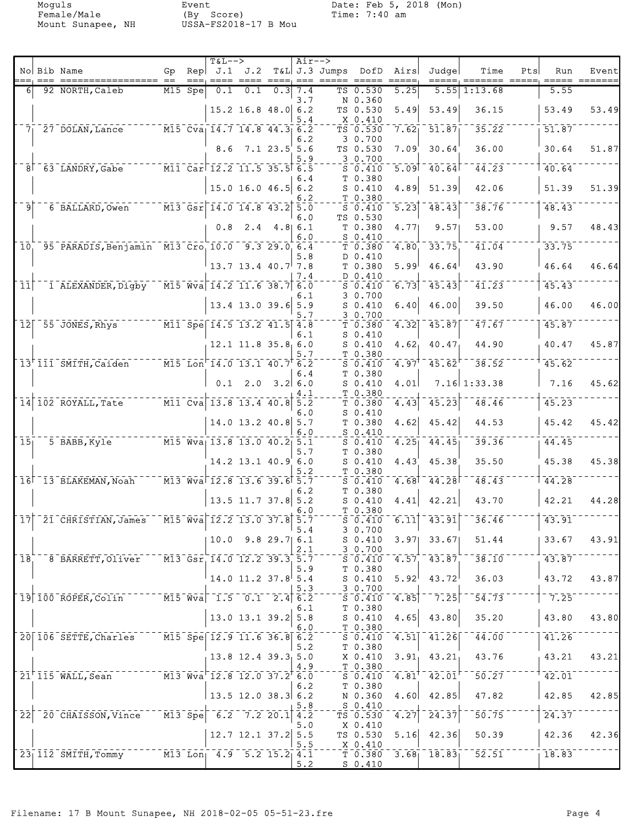Mount Sunapee, NH

Event<br>(By Score)<br>USSA-FS2018-17 B Mou

|                  |                                                                                        |           |           | $T&L-->$                                                                                                 |                                                                                                                                                                                                                                                                                                                                                                                                                                                                    | $Air-->$ |                    |                                             |                     |                                                          |                                     |     |                    |                                      |
|------------------|----------------------------------------------------------------------------------------|-----------|-----------|----------------------------------------------------------------------------------------------------------|--------------------------------------------------------------------------------------------------------------------------------------------------------------------------------------------------------------------------------------------------------------------------------------------------------------------------------------------------------------------------------------------------------------------------------------------------------------------|----------|--------------------|---------------------------------------------|---------------------|----------------------------------------------------------|-------------------------------------|-----|--------------------|--------------------------------------|
|                  | No Bib Name                                                                            | Gp<br>$=$ |           | Rep $J.1$ $J.2$                                                                                          |                                                                                                                                                                                                                                                                                                                                                                                                                                                                    |          | T&L J.3 Jumps DofD |                                             | Airs                | Judge                                                    | Time                                | Pts | Run                | Event<br>$=$ $=$ $=$ $=$ $=$ $=$ $=$ |
| 61               | 92 NORTH, Caleb                                                                        |           | $M15$ Spe |                                                                                                          | $\begin{tabular}{lllllllllll} \multicolumn{2}{l}{{\color{red}x\!}{{\color{green}x\!}{{\color{green}x\!}{{\color{green}x\!}{{\color{green}x\!}{{\color{green}x\!}{{\color{green}x\!}{{\color{green}x\!}{{\color{green}x\!}{{\color{green}x\!}{{\color{green}x\!}{{\color{green}x\!}{{\color{green}x\!}{{\color{green}x\!}{{\color{green}x\!}{{\color{green}x\!}{{\color{green}x\!}{{\color{green}x\!}{{\color{green}x\!}{{\color{green}x\$<br>$0.1$ $0.1$ $0.3$ 7.4 |          |                    | TS 0.530                                    | 5.25                | 5.55                                                     | 1:13.68                             |     | 5.55               |                                      |
|                  |                                                                                        |           |           |                                                                                                          |                                                                                                                                                                                                                                                                                                                                                                                                                                                                    | 3.7      |                    | N 0.360                                     |                     |                                                          |                                     |     |                    |                                      |
|                  |                                                                                        |           |           |                                                                                                          | $15.2$ 16.8 48.0 6.2                                                                                                                                                                                                                                                                                                                                                                                                                                               |          |                    | TS 0.530                                    | 5.49                | 53.49                                                    | 36.15                               |     | 53.49              | 53.49                                |
|                  | 7 27 DOLAN, Lance $M15$ Cva 14.7 14.8 44.3 6.2                                         |           |           |                                                                                                          |                                                                                                                                                                                                                                                                                                                                                                                                                                                                    | 5.4      |                    | X 0.410<br>TS 0.530                         | 7.62                | 51.87                                                    | 35.22                               |     | $\overline{51.87}$ |                                      |
|                  |                                                                                        |           |           |                                                                                                          |                                                                                                                                                                                                                                                                                                                                                                                                                                                                    | 6.2      |                    | 3 0.700                                     |                     |                                                          |                                     |     |                    |                                      |
|                  |                                                                                        |           |           |                                                                                                          | 8.6 7.1 23.5 5.6                                                                                                                                                                                                                                                                                                                                                                                                                                                   |          |                    | TS 0.530                                    | 7.09                | 30.64                                                    | 36.00                               |     | 30.64              | 51.87                                |
|                  |                                                                                        |           |           |                                                                                                          |                                                                                                                                                                                                                                                                                                                                                                                                                                                                    | 5.9      |                    | 3 0.700                                     |                     |                                                          |                                     |     | 40.64              |                                      |
|                  | 8 63 LANDRY, Gabe                                                                      |           |           | $\overline{11}$ $\overline{0}$ ar $\overline{12.2}$ $\overline{11.5}$ $\overline{35.5}$ $\overline{6.5}$ |                                                                                                                                                                                                                                                                                                                                                                                                                                                                    | 6.4      |                    | $S_0.410$<br>T 0.380                        |                     | $5.09$ $40.64$                                           | 44.23                               |     |                    |                                      |
|                  |                                                                                        |           |           |                                                                                                          | $15.0$ 16.0 46.5 6.2                                                                                                                                                                                                                                                                                                                                                                                                                                               |          |                    | $S_0.410$                                   | 4.89                | 51.39                                                    | 42.06                               |     | 51.39              | 51.39                                |
|                  |                                                                                        |           |           |                                                                                                          |                                                                                                                                                                                                                                                                                                                                                                                                                                                                    | 6.2      |                    | T 0.380                                     |                     |                                                          |                                     |     |                    |                                      |
| 9                | 6 BALLARD, Owen                                                                        |           |           | $\sqrt{13}$ Gsr 14.0 14.8 43.2 5.0                                                                       |                                                                                                                                                                                                                                                                                                                                                                                                                                                                    | 6.0      |                    | $S_0.410$<br>TS 0.530                       | $\overline{5.23}$   | 48.43                                                    | 38.76                               |     | 48.43              |                                      |
|                  |                                                                                        |           |           |                                                                                                          | $0.8$ 2.4 4.8 6.1                                                                                                                                                                                                                                                                                                                                                                                                                                                  |          |                    | T 0.380                                     | 4.77                | 9.57                                                     | 53.00                               |     | 9.57               | 48.43                                |
|                  |                                                                                        |           |           |                                                                                                          |                                                                                                                                                                                                                                                                                                                                                                                                                                                                    | 6.0      |                    | $S_0.410$                                   |                     |                                                          |                                     |     |                    |                                      |
| 10 <sub>1</sub>  | 95 PARADIS, Benjamin M13 Cro 10.0 9.3 29.0 6.4                                         |           |           |                                                                                                          |                                                                                                                                                                                                                                                                                                                                                                                                                                                                    |          |                    | T 0.380                                     | 4.80                | 33.75                                                    | $\overline{41.04}$                  |     | 33.75              |                                      |
|                  |                                                                                        |           |           |                                                                                                          | $13.7$ $13.4$ $40.7$ 7.8                                                                                                                                                                                                                                                                                                                                                                                                                                           | 5.8      |                    | D 0.410<br>T 0.380                          | 5.99                | 46.64                                                    | 43.90                               |     | 46.64              | 46.64                                |
|                  |                                                                                        |           |           |                                                                                                          |                                                                                                                                                                                                                                                                                                                                                                                                                                                                    | 7.4      |                    | D 0.410                                     |                     |                                                          |                                     |     |                    |                                      |
| 11               | 1 ALEXANDER, Digby                                                                     |           |           | $\overline{M15}$ $\overline{Wv}$ a 14.2 11.6 38.7 6.0                                                    |                                                                                                                                                                                                                                                                                                                                                                                                                                                                    |          |                    | $S_0.410$                                   | 6.73                | 45.43                                                    | $\bar{41.23}$                       |     | 45.43              |                                      |
|                  |                                                                                        |           |           |                                                                                                          | 13.4 13.0 39.6 5.9                                                                                                                                                                                                                                                                                                                                                                                                                                                 | 6.1      |                    | 3 0.700<br>$S$ 0.410                        | 6.40                | 46.00                                                    | 39.50                               |     | 46.00              | 46.00                                |
|                  |                                                                                        |           |           |                                                                                                          |                                                                                                                                                                                                                                                                                                                                                                                                                                                                    | 5.7      |                    | 30.700                                      |                     |                                                          |                                     |     |                    |                                      |
|                  | $12$ $55$ JONES, Rhys                                                                  |           |           | $\overline{M11}$ Spe $\overline{14.5}$ 13.2 41.5 4.8                                                     |                                                                                                                                                                                                                                                                                                                                                                                                                                                                    |          |                    | T 0.380                                     | 4.32                | 45.87                                                    | $\bar{4}\bar{7}\cdot\bar{6}\bar{7}$ |     | 45.87              |                                      |
|                  |                                                                                        |           |           |                                                                                                          | $12.1$ $11.8$ $35.8$ 6.0                                                                                                                                                                                                                                                                                                                                                                                                                                           | 6.1      |                    | $S_0.410$                                   | 4.62                | 40.47                                                    | 44.90                               |     | 40.47              | 45.87                                |
|                  |                                                                                        |           |           |                                                                                                          |                                                                                                                                                                                                                                                                                                                                                                                                                                                                    | 5.7      |                    | $S_0.410$<br>T 0.380                        |                     |                                                          |                                     |     |                    |                                      |
|                  | 13 <sup>+</sup> 111 <sup>-</sup> SMITH, Caiden M15-Lon <sup>-</sup> 14.0 13.1 40.7 6.2 |           |           |                                                                                                          |                                                                                                                                                                                                                                                                                                                                                                                                                                                                    |          |                    | $S_0.410$                                   | 4.97                | 45.62                                                    | 38.52                               |     | 45.62              |                                      |
|                  |                                                                                        |           |           |                                                                                                          |                                                                                                                                                                                                                                                                                                                                                                                                                                                                    | 6.4      |                    | T 0.380                                     |                     |                                                          |                                     |     |                    |                                      |
|                  |                                                                                        |           |           |                                                                                                          | $0.1$ 2.0 3.2 6.0                                                                                                                                                                                                                                                                                                                                                                                                                                                  | 4.1      |                    | $S_0.410$<br>T 0.380                        | 4.01                |                                                          | 7.16 1:33.38                        |     | 7.16               | 45.62                                |
|                  | 14 102 ROYALL, Tate M11 Cva 13.8 13.4 40.8 5.2                                         |           |           |                                                                                                          |                                                                                                                                                                                                                                                                                                                                                                                                                                                                    |          |                    | T 0.380                                     | 4.43                | 45.23                                                    | 48.46                               |     | 45.23              |                                      |
|                  |                                                                                        |           |           |                                                                                                          |                                                                                                                                                                                                                                                                                                                                                                                                                                                                    | 6.O      |                    | $S_0.410$                                   |                     |                                                          |                                     |     |                    |                                      |
|                  |                                                                                        |           |           |                                                                                                          | $14.0$ 13.2 40.8 5.7                                                                                                                                                                                                                                                                                                                                                                                                                                               | 6.0      |                    | T 0.380<br>$S_0.410$                        | 4.62                | 45.42                                                    | 44.53                               |     | 45.42              | 45.42                                |
| $\overline{15}$  | 5 BABB, Kyle                                                                           |           |           | $\overline{M15}$ $\overline{W}$ va <sub>l</sub> 13.8 13.0 40.2 5.1                                       |                                                                                                                                                                                                                                                                                                                                                                                                                                                                    |          |                    | $S$ 0.410                                   | 4.25                | 44.45                                                    | 39.36                               |     | 44.45              |                                      |
|                  |                                                                                        |           |           |                                                                                                          |                                                                                                                                                                                                                                                                                                                                                                                                                                                                    | 5.7      |                    | T 0.380                                     |                     |                                                          |                                     |     |                    |                                      |
|                  |                                                                                        |           |           |                                                                                                          | $14.2$ 13.1 40.9 6.0                                                                                                                                                                                                                                                                                                                                                                                                                                               |          |                    | $S_0.410$                                   | 4.43                | 45.38                                                    | 35.50                               |     | 45.38              | 45.38                                |
|                  | $16$ <sup><math>-13</math></sup> BLAKEMAN, Noah                                        |           |           | $-$ M13 Wva 12.8 13.6 39.6 5.7                                                                           |                                                                                                                                                                                                                                                                                                                                                                                                                                                                    | 5.2      |                    | T 0.380<br>$S = 0.410$                      | 4.68                | 44.28                                                    | 48.43                               |     | 44.28              |                                      |
|                  |                                                                                        |           |           |                                                                                                          |                                                                                                                                                                                                                                                                                                                                                                                                                                                                    | 6.2      |                    | T 0.380                                     |                     |                                                          |                                     |     |                    |                                      |
|                  |                                                                                        |           |           |                                                                                                          | $13.5$ 11.7 37.8 5.2                                                                                                                                                                                                                                                                                                                                                                                                                                               |          |                    | $S_0.410$                                   | 4.41                | 42.21                                                    | 43.70                               |     | 42.21              | 44.28                                |
|                  | $\mid$ 17 $\mid$ $\mid$ 21 $\mid$ CHRISTIAN, James                                     |           |           | $\overline{M15}$ $\overline{Wv}a$ 12.2 13.0 37.8 5.7                                                     |                                                                                                                                                                                                                                                                                                                                                                                                                                                                    | 6.0      |                    | T 0.380<br>$S$ 0.410                        | $6.11$ <sup>-</sup> | 43.91                                                    | 36.46                               |     | 43.91              |                                      |
|                  |                                                                                        |           |           |                                                                                                          |                                                                                                                                                                                                                                                                                                                                                                                                                                                                    | 5.4      |                    | 3 0.700                                     |                     |                                                          |                                     |     |                    |                                      |
|                  |                                                                                        |           |           |                                                                                                          | $10.0$ 9.8 29.7 6.1                                                                                                                                                                                                                                                                                                                                                                                                                                                |          |                    | $S_0.410$                                   | 3.97                | 33.67                                                    | 51.44                               |     | 33.67              | 43.91                                |
| 18 <sub>1</sub>  | 8 BARRETT, Oliver M13 Gsr 14.0 12.2 39.3 5.7                                           |           |           |                                                                                                          |                                                                                                                                                                                                                                                                                                                                                                                                                                                                    | 2.1      |                    | 3 0.700<br>$S_0.410$                        |                     | $4.57 - 43.87$                                           | $38.10$ <sup>-</sup>                |     | 43.87              |                                      |
|                  |                                                                                        |           |           |                                                                                                          |                                                                                                                                                                                                                                                                                                                                                                                                                                                                    | 5.9      |                    | T 0.380                                     |                     |                                                          |                                     |     |                    |                                      |
|                  |                                                                                        |           |           |                                                                                                          | $14.0$ 11.2 37.8 5.4                                                                                                                                                                                                                                                                                                                                                                                                                                               |          |                    | $S_0.410$                                   | 5.92                | 43.72                                                    | 36.03                               |     | 43.72              | 43.87                                |
|                  | 19 100 ROPER, Colin M15 Wva 1.5 0.1 2.4 6.2                                            |           |           |                                                                                                          |                                                                                                                                                                                                                                                                                                                                                                                                                                                                    | 5.3      |                    | 30.700<br>$\overline{S}$ $\overline{0.410}$ | 4.85                | $-7.25$                                                  | 54.73                               |     | $-7.25$            |                                      |
|                  |                                                                                        |           |           |                                                                                                          |                                                                                                                                                                                                                                                                                                                                                                                                                                                                    | 6.1      |                    | T 0.380                                     |                     |                                                          |                                     |     |                    |                                      |
|                  |                                                                                        |           |           |                                                                                                          | $13.0$ 13.1 39.2 5.8                                                                                                                                                                                                                                                                                                                                                                                                                                               |          |                    | $S_0.410$                                   | 4.65                | 43.80                                                    | 35.20                               |     | 43.80              | 43.80                                |
|                  | 20 106 SETTE, Charles M15 Spe 12.9 11.6 36.8 6.2                                       |           |           |                                                                                                          |                                                                                                                                                                                                                                                                                                                                                                                                                                                                    | 6.0      |                    | T 0.380<br>$S = 0.410$                      | $\overline{4.51}$   | $-41.26$                                                 | $\bar{4}\bar{4}\bar{.}0\bar{0}$     |     | 41.26              |                                      |
|                  |                                                                                        |           |           |                                                                                                          |                                                                                                                                                                                                                                                                                                                                                                                                                                                                    | 5.2      |                    | T 0.380                                     |                     |                                                          |                                     |     |                    |                                      |
|                  |                                                                                        |           |           |                                                                                                          | $13.8$ 12.4 39.3 5.0                                                                                                                                                                                                                                                                                                                                                                                                                                               |          |                    | X 0.410                                     |                     | $3.91$ , $43.21$                                         | 43.76                               |     | 43.21              | 43.21                                |
|                  | $21^{\dagger}$ 115 WALL, Sean $12.8$ Wva <sup>-12.8</sup> 12.0 37.2 <sup>+</sup> 6.0   |           |           |                                                                                                          |                                                                                                                                                                                                                                                                                                                                                                                                                                                                    | 4.9      |                    | T 0.380                                     |                     | $\overline{4.81}^{\dagger}$ $\overline{42.01}^{\dagger}$ | 50.27                               |     | 42.01              |                                      |
|                  |                                                                                        |           |           |                                                                                                          |                                                                                                                                                                                                                                                                                                                                                                                                                                                                    | 6.2      |                    | $S_0.410$<br>T 0.380                        |                     |                                                          |                                     |     |                    |                                      |
|                  |                                                                                        |           |           |                                                                                                          | 13.5 12.0 38.3 6.2                                                                                                                                                                                                                                                                                                                                                                                                                                                 |          |                    | N 0.360                                     | 4.60                | 42.85                                                    | 47.82                               |     | 42.85              | 42.85                                |
|                  |                                                                                        |           |           |                                                                                                          |                                                                                                                                                                                                                                                                                                                                                                                                                                                                    | 5.8      |                    | $S_0.410$                                   |                     |                                                          |                                     |     |                    |                                      |
| $\bar{2}\bar{2}$ | $1.20$ CHAISSON, Vince $1.35$ Spe $-6.2$ $7.2$ 20.1 4.2                                |           |           |                                                                                                          |                                                                                                                                                                                                                                                                                                                                                                                                                                                                    | 5.0      |                    | TS 0.530<br>X 0.410                         | 4.27                | $\left  2\bar{4}\cdot 3\bar{7} \right $                  | 50.75                               |     | 24.37              |                                      |
|                  |                                                                                        |           |           |                                                                                                          | $12.7$ 12.1 37.2 5.5                                                                                                                                                                                                                                                                                                                                                                                                                                               |          |                    | TS 0.530                                    | 5.16                | 42.36                                                    | 50.39                               |     | 42.36              | 42.36                                |
|                  |                                                                                        |           |           |                                                                                                          |                                                                                                                                                                                                                                                                                                                                                                                                                                                                    | 5.5      |                    | $X_0$ . 410                                 |                     |                                                          |                                     |     |                    |                                      |
|                  | 23 112 SMITH, Tommy M13 Lon 4.9 5.2 15.2 4.1                                           |           |           |                                                                                                          |                                                                                                                                                                                                                                                                                                                                                                                                                                                                    | 5.2      |                    | $S_0.410$                                   |                     | $T 0.380 3.68$ <sup>1</sup> 18.83 <sup>-1</sup>          | $\overline{52.51}$                  |     | 18.83              |                                      |
|                  |                                                                                        |           |           |                                                                                                          |                                                                                                                                                                                                                                                                                                                                                                                                                                                                    |          |                    |                                             |                     |                                                          |                                     |     |                    |                                      |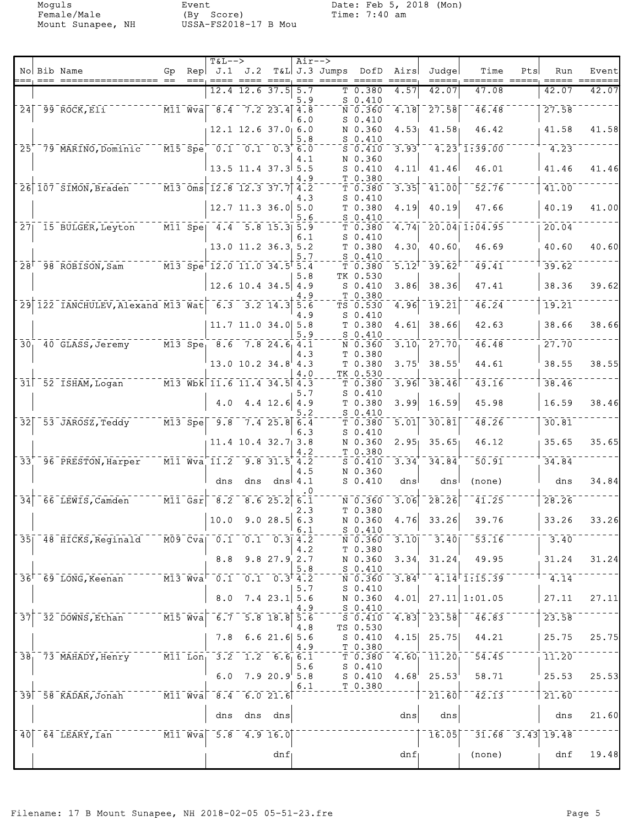Mount Sunapee, NH

Event<br>(By Score)<br>USSA-FS2018-17 B Mou

|                            |                                                                                       |     | $T&L-->$                                                                                                                                                                                                                                                       |                            |                      | $Air--$   |                    |                                                       |                                |                                                                            |                              |     |                      |       |
|----------------------------|---------------------------------------------------------------------------------------|-----|----------------------------------------------------------------------------------------------------------------------------------------------------------------------------------------------------------------------------------------------------------------|----------------------------|----------------------|-----------|--------------------|-------------------------------------------------------|--------------------------------|----------------------------------------------------------------------------|------------------------------|-----|----------------------|-------|
|                            | No Bib Name<br>=== ==================                                                 | Gp. | $\text{Rep}$ J.1 J.2                                                                                                                                                                                                                                           |                            |                      |           | T&L J.3 Jumps DofD |                                                       | Airs                           | Judge                                                                      | Time                         | Pts | Run                  | Event |
|                            |                                                                                       |     |                                                                                                                                                                                                                                                                | $12.4$ 12.6 37.5 5.7       |                      |           |                    | T 0.380                                               | 4.57                           | 42.07                                                                      | 47.08                        |     | 42.07                | 42.07 |
|                            |                                                                                       |     |                                                                                                                                                                                                                                                                |                            |                      | 5.9       |                    | $S_0.410$                                             |                                |                                                                            |                              |     |                      |       |
|                            | $24$ $-99$ $\overline{ROCK}$ , $\overline{E11}$                                       |     | $\sqrt{11} \, \sqrt{v}$ $\sqrt{a}$ $\sqrt{8} \cdot 4$ $\sqrt{7} \cdot 2$ $\sqrt{2} \cdot 3 \cdot 4$ $\sqrt{4} \cdot 8$                                                                                                                                         |                            |                      | 6.0       |                    | N 0.360<br>$S$ 0.410                                  |                                | $-4.18$ $-27.58$                                                           | 46.48                        |     | 27.58                |       |
|                            |                                                                                       |     |                                                                                                                                                                                                                                                                | 12.1 12.6 37.0 6.0         |                      |           |                    | N 0.360                                               | 4.53 <sub>1</sub>              | 41.58                                                                      | 46.42                        |     | 41.58                | 41.58 |
|                            | 25 79 MARINO, Dominic                                                                 |     | $-M15$ Spe $0.1$ 0.1 0.3 6.0                                                                                                                                                                                                                                   |                            |                      | 5.8       |                    | $S_0.410$<br>$S_0.410$                                | 3.93                           |                                                                            | $1.23$ $1.39.00$             |     | $-4.23$              |       |
|                            |                                                                                       |     |                                                                                                                                                                                                                                                                |                            |                      | 4.1       |                    | N 0.360                                               |                                |                                                                            |                              |     |                      |       |
|                            |                                                                                       |     | $13.5$ 11.4 37.3 5.5                                                                                                                                                                                                                                           |                            |                      |           |                    | $S_0.410$                                             | 4.11                           | 41.46                                                                      | 46.01                        |     | 41.46                | 41.46 |
|                            | 26 107 SIMON, Braden M13 Oms 12.8 12.3 37.7 4.2                                       |     |                                                                                                                                                                                                                                                                |                            |                      | 4.9       |                    | T 0.380<br>T <sub>0.380</sub>                         | 3.35                           | 41.00                                                                      | 52.76                        |     | 41.00                |       |
|                            |                                                                                       |     |                                                                                                                                                                                                                                                                |                            |                      | 4.3       |                    | $S_0.410$                                             |                                |                                                                            |                              |     |                      |       |
|                            |                                                                                       |     |                                                                                                                                                                                                                                                                | $12.7$ 11.3 36.0 5.0       |                      | 5.6       |                    | T 0.380                                               | 4.19                           | 40.19                                                                      | 47.66                        |     | 40.19                | 41.00 |
|                            | $27$ <sup>-15</sup> BULGER, Leyton                                                    |     | $\overline{M11}$ Spe $\overline{A.4}$ 5.8 15.3 5.9                                                                                                                                                                                                             |                            |                      |           |                    | $S_0.410$<br>T 0.380                                  | $\overline{4.74}$              |                                                                            | $20.04$ $1.04.95$            |     | 20.04                |       |
|                            |                                                                                       |     |                                                                                                                                                                                                                                                                |                            |                      | 6.1       |                    | $S_0.410$                                             |                                |                                                                            |                              |     |                      |       |
|                            |                                                                                       |     |                                                                                                                                                                                                                                                                | 13.0 11.2 36.3 5.2         |                      | 5.7       |                    | T 0.380<br>$S_0.410$                                  | 4.30                           | 40.60                                                                      | 46.69                        |     | 40.60                | 40.60 |
|                            | 28 <sup>+ -</sup> 98 ROBISON, Sam M13 Spe <sup>-12.0</sup> 11.0 34.5 <sup>+</sup> 5.4 |     |                                                                                                                                                                                                                                                                |                            |                      |           |                    | $T$ 0.380                                             | $\overline{5.12}$ <sup>T</sup> | 39.62                                                                      | $\overline{49.41}$           |     | 39.62                |       |
|                            |                                                                                       |     |                                                                                                                                                                                                                                                                | $12.6$ 10.4 34.5 4.9       |                      | 5.8       |                    | TK 0.530                                              |                                |                                                                            |                              |     |                      |       |
|                            |                                                                                       |     |                                                                                                                                                                                                                                                                |                            |                      | 4.9       |                    | $S_0.410$<br>T 0.380                                  | 3.86                           | 38.36                                                                      | 47.41                        |     | 38.36                | 39.62 |
|                            | 29 122 IANCHULEV, Alexand M13 Wat 6.3 3.2 14.3 5.6                                    |     |                                                                                                                                                                                                                                                                |                            |                      |           |                    | TS 0.530                                              | 4.96                           | 19.21                                                                      | 46.24                        |     | 19.21                |       |
|                            |                                                                                       |     |                                                                                                                                                                                                                                                                | $11.7$ 11.0 34.0 5.8       |                      | 4.9       |                    | $S_0.410$<br>T 0.380                                  | 4.61                           | 38.66                                                                      | 42.63                        |     | 38.66                | 38.66 |
|                            |                                                                                       |     |                                                                                                                                                                                                                                                                |                            |                      | 5.9       |                    | $S_0.410$                                             |                                |                                                                            |                              |     |                      |       |
|                            | 30, 40 GLASS, Jeremy M13 Spe, 8.6 7.8 24.6 4.1                                        |     |                                                                                                                                                                                                                                                                |                            |                      |           |                    | N 0.360                                               | $3.10^{-}$                     | $-27.70$                                                                   | 46.48                        |     | 27.70                |       |
|                            |                                                                                       |     |                                                                                                                                                                                                                                                                | $13.0$ $10.2$ $34.8$ $4.3$ |                      | 4.3       |                    | T 0.380<br>T 0.380                                    | 3.75                           | 38.55                                                                      | 44.61                        |     | 38.55                | 38.55 |
|                            |                                                                                       |     |                                                                                                                                                                                                                                                                |                            |                      | 4.0       |                    | TK 0.530                                              |                                |                                                                            |                              |     |                      |       |
|                            | $31$ $52$ $15HAM,$ Logan                                                              |     | $\overline{M13}$ Wbk 11.6 11.4 34.5 4.3                                                                                                                                                                                                                        |                            |                      | 5.7       |                    | T <sub>0.380</sub><br>$S_0.410$                       |                                | $3.96$ <sup>-38.46</sup>                                                   | 43.16                        |     | 38.46                |       |
|                            |                                                                                       |     | 4.0                                                                                                                                                                                                                                                            |                            | $4.4$ 12.6 4.9       |           |                    | T 0.380                                               | 3.99                           | 16.59                                                                      | 45.98                        |     | 16.59                | 38.46 |
|                            |                                                                                       |     |                                                                                                                                                                                                                                                                |                            |                      | 5.2       |                    | $S_0.410$                                             |                                |                                                                            |                              |     |                      |       |
|                            | 32 53 JAROSZ, Teddy M13 Spe 9.8 7.4 25.8 6.4                                          |     |                                                                                                                                                                                                                                                                |                            |                      | 6.3       |                    | $T$ 0.380<br>$S_0.410$                                | $\overline{5.01}$              | $-30.81$                                                                   | 48.26                        |     | 30.81                |       |
|                            |                                                                                       |     |                                                                                                                                                                                                                                                                | $11.4$ 10.4 32.7 3.8       |                      |           |                    | N 0.360                                               |                                | $2.95$ 35.65                                                               | 46.12                        |     | 35.65                | 35.65 |
|                            | 33 <sup>+</sup> 96 PRESTON, Harper                                                    |     | $\overline{M11}$ Wva 11.2 9.8 31.5 4.2                                                                                                                                                                                                                         |                            |                      | 4.2       |                    | T 0.380<br>$S_0.410$                                  | 3.34                           | 34.84                                                                      | 50.91                        |     | 34.84                |       |
|                            |                                                                                       |     |                                                                                                                                                                                                                                                                |                            |                      | 4.5       |                    | N 0.360                                               |                                |                                                                            |                              |     |                      |       |
|                            |                                                                                       |     | dns                                                                                                                                                                                                                                                            | dns                        |                      | dns $4.1$ |                    | $S_0.410$                                             | dns                            | dns                                                                        | (none)                       |     | dns                  | 34.84 |
| $\overline{3}\overline{4}$ | 66 LEWIS, Camden M11 Gsr 8.2 8.6 25.2 6.1                                             |     |                                                                                                                                                                                                                                                                |                            |                      |           |                    | $\bar{N}$ $\bar{0}$ , $\bar{3}60$                     | 3.06                           | 28.26                                                                      | 41.25                        |     | 28.26                |       |
|                            |                                                                                       |     |                                                                                                                                                                                                                                                                |                            |                      | 2.3       |                    | T 0.380                                               |                                |                                                                            |                              |     |                      |       |
|                            |                                                                                       |     | 10.0                                                                                                                                                                                                                                                           |                            | 9.028.56.3           | 6.1       |                    | N 0.360<br>$S_0.410$                                  | 4.76                           | 33.26                                                                      | 39.76                        |     | 33.26                | 33.26 |
|                            | 35  48 HICKS, Reginald M09 Cva  0.1 0.1 0.3  4.2                                      |     |                                                                                                                                                                                                                                                                |                            |                      |           |                    | N 0.360                                               |                                | $3.10$   $3.40$                                                            | 53.16                        |     | 3.40                 |       |
|                            |                                                                                       |     | 8.8                                                                                                                                                                                                                                                            |                            | $9.8$ 27.9 2.7       | 4.2       |                    | T 0.380<br>N 0.360                                    |                                | $3.34$ , $31.24$                                                           | 49.95                        |     | 31.24                | 31.24 |
|                            |                                                                                       |     |                                                                                                                                                                                                                                                                |                            |                      | 5.8       |                    | $S_0.410$                                             |                                |                                                                            |                              |     |                      |       |
|                            | $36†$ 69 LONG, Keenan                                                                 |     | $\overline{M13}$ $\overline{W}$ va <sup><math>\overline{C}</math></sup> $\overline{0.1}$ $\overline{0.1}$ $\overline{0.3}$ $\overline{4.2}$                                                                                                                    |                            |                      |           |                    | $\overline{\texttt{N}}$ 0.360 $\overline{\texttt{N}}$ | $3.84$ <sup>1</sup>            |                                                                            | $-4.14$ <sup>+</sup> 1:15.39 |     | $-4.14$              |       |
|                            |                                                                                       |     | $\bf 8.0$                                                                                                                                                                                                                                                      |                            | $7.4$ 23.1 5.6       | 5.7       |                    | $S_0.410$<br>N 0.360                                  | 4.01                           |                                                                            | $27.11$ 1:01.05              |     | 27.11                | 27.11 |
|                            |                                                                                       |     |                                                                                                                                                                                                                                                                |                            |                      | 4.9       |                    | $S_{0.410}$                                           |                                |                                                                            |                              |     |                      |       |
| $\overline{3}\overline{7}$ | $32$ DOWNS, Ethan $15$ M15 Wva 6.7 5.8 18.8 5.6                                       |     |                                                                                                                                                                                                                                                                |                            |                      | 4.8       |                    | $\overline{\text{S}}$ 0.410<br>TS 0.530               | $-4.83$                        | 23.58                                                                      | 46.83                        |     | 23.58                |       |
|                            |                                                                                       |     | 7.8                                                                                                                                                                                                                                                            |                            | 6.621.65.6           |           |                    | $S_0.410$                                             | 4.15                           | 25.75                                                                      | 44.21                        |     | 25.75                | 25.75 |
|                            |                                                                                       |     |                                                                                                                                                                                                                                                                |                            |                      | 4.9       |                    | T 0.380                                               |                                | $\overline{1}\overline{1}\overline{1}\overline{.}\overline{2}\overline{0}$ | 54.45                        |     |                      |       |
|                            | 38 73 MAHADY, Henry M11 Lon 3.2                                                       |     |                                                                                                                                                                                                                                                                |                            | $1.2 \t6.66$ , $6.1$ | 5.6       |                    | $\bar{T}$ 0.380 $\bar{4.60}$<br>$S_0.410$             |                                |                                                                            |                              |     | $\overline{11.20}$   |       |
|                            |                                                                                       |     | 6.0                                                                                                                                                                                                                                                            |                            | 7.920.95.8           |           |                    | S 0.410                                               | 4.68                           | 25.53                                                                      | 58.71                        |     | 25.53                | 25.53 |
|                            | $39$ $-58$ $KADAR, Jonathan$                                                          |     | $\overline{N}$ $\overline{N}$ $\overline{1}$ $\overline{1}$ $\overline{W}$ $\overline{V}$ $\overline{a}$ $\overline{S}$ $\overline{S}$ $\overline{4}$ $\overline{S}$ $\overline{6}$ $\overline{0}$ $\overline{2}$ $\overline{1}$ $\overline{6}$ $\overline{0}$ |                            |                      | 6.1       |                    | T 0.380                                               |                                | 21.60                                                                      | $\bar{4}\bar{2}.1\bar{3}$    |     | 21.60                |       |
|                            |                                                                                       |     |                                                                                                                                                                                                                                                                |                            |                      |           |                    |                                                       |                                |                                                                            |                              |     |                      |       |
|                            |                                                                                       |     |                                                                                                                                                                                                                                                                | dns dns dns                |                      |           |                    |                                                       | dns                            | dns                                                                        |                              |     | dns                  | 21.60 |
|                            | 40 64 LEARY, Ian M11 Wva 5.8 4.9 16.0                                                 |     |                                                                                                                                                                                                                                                                |                            |                      |           |                    |                                                       |                                | $\overline{16.05}$                                                         |                              |     | $31.68 - 3.43$ 19.48 |       |
|                            |                                                                                       |     |                                                                                                                                                                                                                                                                |                            |                      |           |                    |                                                       |                                |                                                                            |                              |     |                      |       |
|                            |                                                                                       |     |                                                                                                                                                                                                                                                                |                            | dnf                  |           |                    |                                                       | dnf                            |                                                                            | (none)                       |     | dnf                  | 19.48 |
|                            |                                                                                       |     |                                                                                                                                                                                                                                                                |                            |                      |           |                    |                                                       |                                |                                                                            |                              |     |                      |       |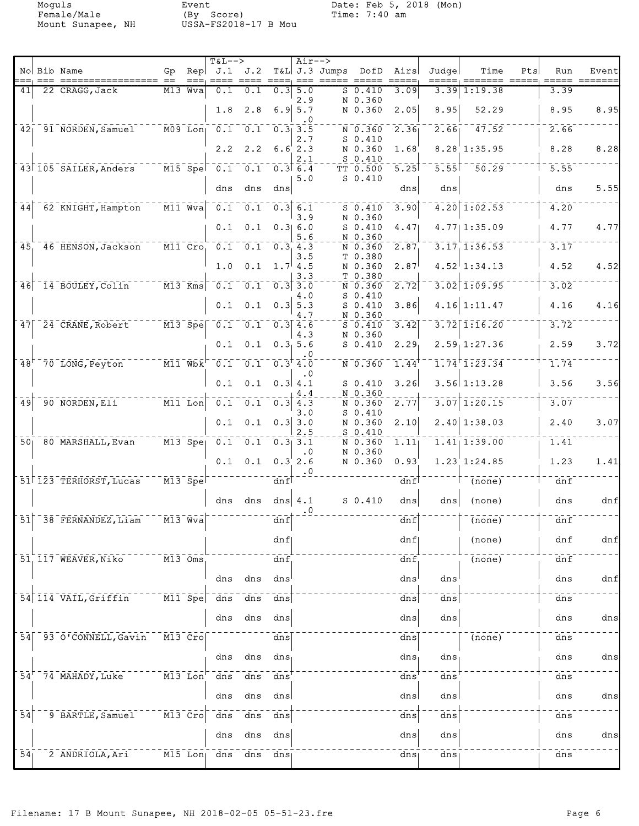Mount Sunapee, NH

Event<br>(By Score)<br>USSA-FS2018-17 B Mou

| No Bib Name<br>$\mathsf{Rep}$ J.1 J.2<br>T&L J.3 Jumps DofD<br>Judge<br>Time<br>Gp<br>Airs<br>Pts<br>Run<br>==== ==== ====, === ===== =====<br>== =====<br>22 CRAGG, Jack<br>M13 Wva<br>0.1<br>$0.3$ 5.0<br>$S_0.410$<br>3.09<br>$3.39$ 1:19.38<br>3.39<br>41<br>0.1<br>2.9<br>N 0.360<br>2.8<br>$6.9$ 5.7<br>8.95<br>52.29<br>8.95<br>1.8<br>N 0.360<br>2.05<br>. 0<br>42 91 NORDEN, Samuel M09 Lon 0.1 0.1 0.3 3.5<br>$2.66$ <sup>-</sup><br>$\overline{47.52}$<br>2.66<br>N 0.360<br>2.36<br>$S_0.410$<br>2.7<br>8.28'1:35.95<br>8.28<br>$2.2$ $2.2$ $6.6$ $2.3$<br>N 0.360<br>1.68<br>$S_0.410$<br>2.1<br>43 105 SAILER, Anders M15 Spe 0.1 0.1 0.3 6.4<br>$5.55$ <sup>--</sup> 50.29<br>5.55<br>$\overline{5.25}$<br>TT 0.500<br>$S_0.410$<br>5.0<br>dns<br>dns<br>dns<br>dns<br>dns<br>dns<br>$4.20 \mid 1.02.53$<br>$\overline{M11}$ Wva $\overline{0.1}$ $\overline{0.1}$ $\overline{0.3}$ $\overline{6.1}$<br>4.20<br>3.90<br>62 KNIGHT, Hampton<br>44<br>$S_0.410$<br>3.9<br>N 0.360<br>4.77<br>0.1<br>0.1<br>0.3 6.0<br>$S_0.410$<br>4.47<br>4.77 1:35.09<br>N 0.360<br>5.6<br>45 46 HENSON, Jackson M11 Cro 0.1 0.1 0.3 4.3<br>$3.17$ <sup>-1:36.53</sup><br>3.17<br>$\overline{2.87}$<br>N 0.360<br>T 0.380<br>3.5<br>$0.1 \quad 1.7 \quad 4.5$<br>$4.52$ <sup>1</sup> :34.13<br>4.52<br>1.0<br>N 0.360<br>2.87<br>T 0.380<br>3.3<br>46 14 BOULEY, Colin M13 Kms 0.1 0.1 0.3 3.0<br>$3.02$ 1:09.95<br>3.02<br>N 0.360<br>2.72<br>$S$ 0.410<br>4.0<br>$0.1 \quad 0.3 \mid 5.3$<br>4.16 1:11.47<br>4.16<br>0.1<br>$S_0.410$<br>3.86<br>4.7<br>N 0.360<br>47 24 CRANE, Robert M13 Spe 0.1 0.1 0.3 4.6<br>$3.72$ $1:16.20$<br>3.72<br>3.42<br>$S_0.410$<br>4.3<br>N 0.360<br>2.59, 1:27.36<br>2.59<br>$0.1 \quad 0.3, 5.6$<br>0.1<br>$S_0.410$<br>2.29<br>. 0<br>48 <sup>+</sup> 70 LONG, Peyton M11 Wbk <sup>-0.1</sup> 0.1 0.1 0.3 4.0<br>1.74<br>$1.74$ <sup>r</sup> $1.23.34$<br>$\overline{\texttt{N}}$ 0.360<br>1.44<br>0.1<br>0.3   4.1<br>$3.56$ 1:13.28<br>3.56<br>0.1<br>3.26<br>$S_0.410$<br>N 0.360<br>4.4<br>90 NORDEN, Eli MII Lon 0.1 0.1<br>$3.\overline{07}$ 1:20.15<br>$0.3$ 4.3<br>3.07<br>$\overline{49}$<br>2.77<br>N 0.360<br>$S_0.410$<br>3.0<br>$0.1 \quad 0.1 \quad 0.3 \quad 3.0$<br>$2.40 \mid 1:38.03$<br>2.40<br>N 0.360<br>2.10<br>2.5<br>$S_0.410$<br>50 80 MARSHALL, Evan M13 Spec 0.1 0.1 0.3 3.1<br>$1.\overline{41}$ $1.\overline{39}.00$<br>1.41<br>N 0.360<br>1.11<br>N 0.360<br>$\cdot$ . O<br>$0.1$ $0.1$ $0.3$ 2.6<br>$1.23 \, 1:24.85$<br>1.23<br>N 0.360<br>0.93<br>$\cdot$ <sup>0</sup><br>$51^{\dagger}$ 123 TERHORST, Lucas $1.3$ $\text{N}$ $\text{N}$ $\text{N}$ $\text{N}$ $\text{N}$ $\text{N}$ $\text{N}$<br>$\overline{d}$ nf<br>$\top$ (none)<br>dnf<br>$ \frac{1}{\text{dnf}}$<br>$S_0.410$<br>dns dns dns $4.1$<br>dns<br>dns $ $ (none)<br>dns<br>$\cdot$ 0<br>$51$ <sup><math>-38</math></sup> $FERNANDEZ$ , Liam<br>dnf<br>$\overline{\ }$ $\overline{\ }$ $\overline{\ }$ (none)<br>dim f<br>dnf<br>dnf<br>(none)<br>dnf<br>51 117 WEAVER, Niko M13 Oms.<br>$\overline{(\text{none})}$<br>dnf<br>dnf<br>dnf,<br>dns<br>dns dns<br>dns<br>dns<br>dns<br>54 114 VAIL, Griffin M11 Spe dns<br>$\overline{ans}$<br>$\overline{dns}$<br>dns<br>dns<br>dns<br>dns<br>dns<br>dns<br>dns<br>dns<br>dns<br>54 <sup>-</sup> 93 0'CONNELL, Gavin<br>$^{-}$ $\bar{\texttt{M}}\bar{\texttt{3}}$ $^{-}$ Cro $\vert$<br>dns<br>(none)<br>dns<br>dns<br>dns<br>dns dns<br>dns<br>dns<br>dns<br>$54+$ 74 MAHADY, Luke<br>$\bar{d}$ ns<br>$ \overline{\texttt{M13}}$ $\overline{\texttt{Lon}}$<br>$\overline{dns}$<br>dns dns<br>dns<br>dns<br>dns<br>dns<br>dns<br>dns<br>dns<br>dns<br>9 BARTLE, Samuel 777 M13 Cro<br>$\overline{54}$<br>dns dns dns<br>dns<br>dns<br>dns<br>dns<br>dns<br>dns<br>dns<br>dns<br>dns<br>54<br>2 ANDRIOLA, Ari M15 Lon dns dns dns<br>dns<br>dns<br>dns |  |  |  | $T&L-->$ |  | $Air--$ |  |  |  |       |
|-------------------------------------------------------------------------------------------------------------------------------------------------------------------------------------------------------------------------------------------------------------------------------------------------------------------------------------------------------------------------------------------------------------------------------------------------------------------------------------------------------------------------------------------------------------------------------------------------------------------------------------------------------------------------------------------------------------------------------------------------------------------------------------------------------------------------------------------------------------------------------------------------------------------------------------------------------------------------------------------------------------------------------------------------------------------------------------------------------------------------------------------------------------------------------------------------------------------------------------------------------------------------------------------------------------------------------------------------------------------------------------------------------------------------------------------------------------------------------------------------------------------------------------------------------------------------------------------------------------------------------------------------------------------------------------------------------------------------------------------------------------------------------------------------------------------------------------------------------------------------------------------------------------------------------------------------------------------------------------------------------------------------------------------------------------------------------------------------------------------------------------------------------------------------------------------------------------------------------------------------------------------------------------------------------------------------------------------------------------------------------------------------------------------------------------------------------------------------------------------------------------------------------------------------------------------------------------------------------------------------------------------------------------------------------------------------------------------------------------------------------------------------------------------------------------------------------------------------------------------------------------------------------------------------------------------------------------------------------------------------------------------------------------------------------------------------------------------------------------------------------------------------------------------------------------------------------------------------------------------------------------------------------------------------------------------------------------------------------------------------------------------------------------------------------------------------------------------------------------------------------------------------------------------------------------------------------------------------------------------------------------------------------------------------------------------------------------------------------------------------------------------------------------------------------------------------------------------|--|--|--|----------|--|---------|--|--|--|-------|
|                                                                                                                                                                                                                                                                                                                                                                                                                                                                                                                                                                                                                                                                                                                                                                                                                                                                                                                                                                                                                                                                                                                                                                                                                                                                                                                                                                                                                                                                                                                                                                                                                                                                                                                                                                                                                                                                                                                                                                                                                                                                                                                                                                                                                                                                                                                                                                                                                                                                                                                                                                                                                                                                                                                                                                                                                                                                                                                                                                                                                                                                                                                                                                                                                                                                                                                                                                                                                                                                                                                                                                                                                                                                                                                                                                                                                                           |  |  |  |          |  |         |  |  |  | Event |
|                                                                                                                                                                                                                                                                                                                                                                                                                                                                                                                                                                                                                                                                                                                                                                                                                                                                                                                                                                                                                                                                                                                                                                                                                                                                                                                                                                                                                                                                                                                                                                                                                                                                                                                                                                                                                                                                                                                                                                                                                                                                                                                                                                                                                                                                                                                                                                                                                                                                                                                                                                                                                                                                                                                                                                                                                                                                                                                                                                                                                                                                                                                                                                                                                                                                                                                                                                                                                                                                                                                                                                                                                                                                                                                                                                                                                                           |  |  |  |          |  |         |  |  |  |       |
| 8.28                                                                                                                                                                                                                                                                                                                                                                                                                                                                                                                                                                                                                                                                                                                                                                                                                                                                                                                                                                                                                                                                                                                                                                                                                                                                                                                                                                                                                                                                                                                                                                                                                                                                                                                                                                                                                                                                                                                                                                                                                                                                                                                                                                                                                                                                                                                                                                                                                                                                                                                                                                                                                                                                                                                                                                                                                                                                                                                                                                                                                                                                                                                                                                                                                                                                                                                                                                                                                                                                                                                                                                                                                                                                                                                                                                                                                                      |  |  |  |          |  |         |  |  |  | 8.95  |
|                                                                                                                                                                                                                                                                                                                                                                                                                                                                                                                                                                                                                                                                                                                                                                                                                                                                                                                                                                                                                                                                                                                                                                                                                                                                                                                                                                                                                                                                                                                                                                                                                                                                                                                                                                                                                                                                                                                                                                                                                                                                                                                                                                                                                                                                                                                                                                                                                                                                                                                                                                                                                                                                                                                                                                                                                                                                                                                                                                                                                                                                                                                                                                                                                                                                                                                                                                                                                                                                                                                                                                                                                                                                                                                                                                                                                                           |  |  |  |          |  |         |  |  |  |       |
|                                                                                                                                                                                                                                                                                                                                                                                                                                                                                                                                                                                                                                                                                                                                                                                                                                                                                                                                                                                                                                                                                                                                                                                                                                                                                                                                                                                                                                                                                                                                                                                                                                                                                                                                                                                                                                                                                                                                                                                                                                                                                                                                                                                                                                                                                                                                                                                                                                                                                                                                                                                                                                                                                                                                                                                                                                                                                                                                                                                                                                                                                                                                                                                                                                                                                                                                                                                                                                                                                                                                                                                                                                                                                                                                                                                                                                           |  |  |  |          |  |         |  |  |  |       |
|                                                                                                                                                                                                                                                                                                                                                                                                                                                                                                                                                                                                                                                                                                                                                                                                                                                                                                                                                                                                                                                                                                                                                                                                                                                                                                                                                                                                                                                                                                                                                                                                                                                                                                                                                                                                                                                                                                                                                                                                                                                                                                                                                                                                                                                                                                                                                                                                                                                                                                                                                                                                                                                                                                                                                                                                                                                                                                                                                                                                                                                                                                                                                                                                                                                                                                                                                                                                                                                                                                                                                                                                                                                                                                                                                                                                                                           |  |  |  |          |  |         |  |  |  |       |
| 4.77<br>4.52<br>4.16<br>3.72<br>3.56<br>3.07<br>1.41<br>dnf<br>dnf<br>dnf<br>dns<br>ans<br>dns<br>dns                                                                                                                                                                                                                                                                                                                                                                                                                                                                                                                                                                                                                                                                                                                                                                                                                                                                                                                                                                                                                                                                                                                                                                                                                                                                                                                                                                                                                                                                                                                                                                                                                                                                                                                                                                                                                                                                                                                                                                                                                                                                                                                                                                                                                                                                                                                                                                                                                                                                                                                                                                                                                                                                                                                                                                                                                                                                                                                                                                                                                                                                                                                                                                                                                                                                                                                                                                                                                                                                                                                                                                                                                                                                                                                                     |  |  |  |          |  |         |  |  |  | 5.55  |
|                                                                                                                                                                                                                                                                                                                                                                                                                                                                                                                                                                                                                                                                                                                                                                                                                                                                                                                                                                                                                                                                                                                                                                                                                                                                                                                                                                                                                                                                                                                                                                                                                                                                                                                                                                                                                                                                                                                                                                                                                                                                                                                                                                                                                                                                                                                                                                                                                                                                                                                                                                                                                                                                                                                                                                                                                                                                                                                                                                                                                                                                                                                                                                                                                                                                                                                                                                                                                                                                                                                                                                                                                                                                                                                                                                                                                                           |  |  |  |          |  |         |  |  |  |       |
|                                                                                                                                                                                                                                                                                                                                                                                                                                                                                                                                                                                                                                                                                                                                                                                                                                                                                                                                                                                                                                                                                                                                                                                                                                                                                                                                                                                                                                                                                                                                                                                                                                                                                                                                                                                                                                                                                                                                                                                                                                                                                                                                                                                                                                                                                                                                                                                                                                                                                                                                                                                                                                                                                                                                                                                                                                                                                                                                                                                                                                                                                                                                                                                                                                                                                                                                                                                                                                                                                                                                                                                                                                                                                                                                                                                                                                           |  |  |  |          |  |         |  |  |  |       |
|                                                                                                                                                                                                                                                                                                                                                                                                                                                                                                                                                                                                                                                                                                                                                                                                                                                                                                                                                                                                                                                                                                                                                                                                                                                                                                                                                                                                                                                                                                                                                                                                                                                                                                                                                                                                                                                                                                                                                                                                                                                                                                                                                                                                                                                                                                                                                                                                                                                                                                                                                                                                                                                                                                                                                                                                                                                                                                                                                                                                                                                                                                                                                                                                                                                                                                                                                                                                                                                                                                                                                                                                                                                                                                                                                                                                                                           |  |  |  |          |  |         |  |  |  |       |
|                                                                                                                                                                                                                                                                                                                                                                                                                                                                                                                                                                                                                                                                                                                                                                                                                                                                                                                                                                                                                                                                                                                                                                                                                                                                                                                                                                                                                                                                                                                                                                                                                                                                                                                                                                                                                                                                                                                                                                                                                                                                                                                                                                                                                                                                                                                                                                                                                                                                                                                                                                                                                                                                                                                                                                                                                                                                                                                                                                                                                                                                                                                                                                                                                                                                                                                                                                                                                                                                                                                                                                                                                                                                                                                                                                                                                                           |  |  |  |          |  |         |  |  |  |       |
|                                                                                                                                                                                                                                                                                                                                                                                                                                                                                                                                                                                                                                                                                                                                                                                                                                                                                                                                                                                                                                                                                                                                                                                                                                                                                                                                                                                                                                                                                                                                                                                                                                                                                                                                                                                                                                                                                                                                                                                                                                                                                                                                                                                                                                                                                                                                                                                                                                                                                                                                                                                                                                                                                                                                                                                                                                                                                                                                                                                                                                                                                                                                                                                                                                                                                                                                                                                                                                                                                                                                                                                                                                                                                                                                                                                                                                           |  |  |  |          |  |         |  |  |  |       |
|                                                                                                                                                                                                                                                                                                                                                                                                                                                                                                                                                                                                                                                                                                                                                                                                                                                                                                                                                                                                                                                                                                                                                                                                                                                                                                                                                                                                                                                                                                                                                                                                                                                                                                                                                                                                                                                                                                                                                                                                                                                                                                                                                                                                                                                                                                                                                                                                                                                                                                                                                                                                                                                                                                                                                                                                                                                                                                                                                                                                                                                                                                                                                                                                                                                                                                                                                                                                                                                                                                                                                                                                                                                                                                                                                                                                                                           |  |  |  |          |  |         |  |  |  |       |
|                                                                                                                                                                                                                                                                                                                                                                                                                                                                                                                                                                                                                                                                                                                                                                                                                                                                                                                                                                                                                                                                                                                                                                                                                                                                                                                                                                                                                                                                                                                                                                                                                                                                                                                                                                                                                                                                                                                                                                                                                                                                                                                                                                                                                                                                                                                                                                                                                                                                                                                                                                                                                                                                                                                                                                                                                                                                                                                                                                                                                                                                                                                                                                                                                                                                                                                                                                                                                                                                                                                                                                                                                                                                                                                                                                                                                                           |  |  |  |          |  |         |  |  |  |       |
|                                                                                                                                                                                                                                                                                                                                                                                                                                                                                                                                                                                                                                                                                                                                                                                                                                                                                                                                                                                                                                                                                                                                                                                                                                                                                                                                                                                                                                                                                                                                                                                                                                                                                                                                                                                                                                                                                                                                                                                                                                                                                                                                                                                                                                                                                                                                                                                                                                                                                                                                                                                                                                                                                                                                                                                                                                                                                                                                                                                                                                                                                                                                                                                                                                                                                                                                                                                                                                                                                                                                                                                                                                                                                                                                                                                                                                           |  |  |  |          |  |         |  |  |  |       |
|                                                                                                                                                                                                                                                                                                                                                                                                                                                                                                                                                                                                                                                                                                                                                                                                                                                                                                                                                                                                                                                                                                                                                                                                                                                                                                                                                                                                                                                                                                                                                                                                                                                                                                                                                                                                                                                                                                                                                                                                                                                                                                                                                                                                                                                                                                                                                                                                                                                                                                                                                                                                                                                                                                                                                                                                                                                                                                                                                                                                                                                                                                                                                                                                                                                                                                                                                                                                                                                                                                                                                                                                                                                                                                                                                                                                                                           |  |  |  |          |  |         |  |  |  |       |
|                                                                                                                                                                                                                                                                                                                                                                                                                                                                                                                                                                                                                                                                                                                                                                                                                                                                                                                                                                                                                                                                                                                                                                                                                                                                                                                                                                                                                                                                                                                                                                                                                                                                                                                                                                                                                                                                                                                                                                                                                                                                                                                                                                                                                                                                                                                                                                                                                                                                                                                                                                                                                                                                                                                                                                                                                                                                                                                                                                                                                                                                                                                                                                                                                                                                                                                                                                                                                                                                                                                                                                                                                                                                                                                                                                                                                                           |  |  |  |          |  |         |  |  |  |       |
|                                                                                                                                                                                                                                                                                                                                                                                                                                                                                                                                                                                                                                                                                                                                                                                                                                                                                                                                                                                                                                                                                                                                                                                                                                                                                                                                                                                                                                                                                                                                                                                                                                                                                                                                                                                                                                                                                                                                                                                                                                                                                                                                                                                                                                                                                                                                                                                                                                                                                                                                                                                                                                                                                                                                                                                                                                                                                                                                                                                                                                                                                                                                                                                                                                                                                                                                                                                                                                                                                                                                                                                                                                                                                                                                                                                                                                           |  |  |  |          |  |         |  |  |  |       |
|                                                                                                                                                                                                                                                                                                                                                                                                                                                                                                                                                                                                                                                                                                                                                                                                                                                                                                                                                                                                                                                                                                                                                                                                                                                                                                                                                                                                                                                                                                                                                                                                                                                                                                                                                                                                                                                                                                                                                                                                                                                                                                                                                                                                                                                                                                                                                                                                                                                                                                                                                                                                                                                                                                                                                                                                                                                                                                                                                                                                                                                                                                                                                                                                                                                                                                                                                                                                                                                                                                                                                                                                                                                                                                                                                                                                                                           |  |  |  |          |  |         |  |  |  |       |
|                                                                                                                                                                                                                                                                                                                                                                                                                                                                                                                                                                                                                                                                                                                                                                                                                                                                                                                                                                                                                                                                                                                                                                                                                                                                                                                                                                                                                                                                                                                                                                                                                                                                                                                                                                                                                                                                                                                                                                                                                                                                                                                                                                                                                                                                                                                                                                                                                                                                                                                                                                                                                                                                                                                                                                                                                                                                                                                                                                                                                                                                                                                                                                                                                                                                                                                                                                                                                                                                                                                                                                                                                                                                                                                                                                                                                                           |  |  |  |          |  |         |  |  |  |       |
|                                                                                                                                                                                                                                                                                                                                                                                                                                                                                                                                                                                                                                                                                                                                                                                                                                                                                                                                                                                                                                                                                                                                                                                                                                                                                                                                                                                                                                                                                                                                                                                                                                                                                                                                                                                                                                                                                                                                                                                                                                                                                                                                                                                                                                                                                                                                                                                                                                                                                                                                                                                                                                                                                                                                                                                                                                                                                                                                                                                                                                                                                                                                                                                                                                                                                                                                                                                                                                                                                                                                                                                                                                                                                                                                                                                                                                           |  |  |  |          |  |         |  |  |  |       |
|                                                                                                                                                                                                                                                                                                                                                                                                                                                                                                                                                                                                                                                                                                                                                                                                                                                                                                                                                                                                                                                                                                                                                                                                                                                                                                                                                                                                                                                                                                                                                                                                                                                                                                                                                                                                                                                                                                                                                                                                                                                                                                                                                                                                                                                                                                                                                                                                                                                                                                                                                                                                                                                                                                                                                                                                                                                                                                                                                                                                                                                                                                                                                                                                                                                                                                                                                                                                                                                                                                                                                                                                                                                                                                                                                                                                                                           |  |  |  |          |  |         |  |  |  |       |
|                                                                                                                                                                                                                                                                                                                                                                                                                                                                                                                                                                                                                                                                                                                                                                                                                                                                                                                                                                                                                                                                                                                                                                                                                                                                                                                                                                                                                                                                                                                                                                                                                                                                                                                                                                                                                                                                                                                                                                                                                                                                                                                                                                                                                                                                                                                                                                                                                                                                                                                                                                                                                                                                                                                                                                                                                                                                                                                                                                                                                                                                                                                                                                                                                                                                                                                                                                                                                                                                                                                                                                                                                                                                                                                                                                                                                                           |  |  |  |          |  |         |  |  |  |       |
|                                                                                                                                                                                                                                                                                                                                                                                                                                                                                                                                                                                                                                                                                                                                                                                                                                                                                                                                                                                                                                                                                                                                                                                                                                                                                                                                                                                                                                                                                                                                                                                                                                                                                                                                                                                                                                                                                                                                                                                                                                                                                                                                                                                                                                                                                                                                                                                                                                                                                                                                                                                                                                                                                                                                                                                                                                                                                                                                                                                                                                                                                                                                                                                                                                                                                                                                                                                                                                                                                                                                                                                                                                                                                                                                                                                                                                           |  |  |  |          |  |         |  |  |  |       |
|                                                                                                                                                                                                                                                                                                                                                                                                                                                                                                                                                                                                                                                                                                                                                                                                                                                                                                                                                                                                                                                                                                                                                                                                                                                                                                                                                                                                                                                                                                                                                                                                                                                                                                                                                                                                                                                                                                                                                                                                                                                                                                                                                                                                                                                                                                                                                                                                                                                                                                                                                                                                                                                                                                                                                                                                                                                                                                                                                                                                                                                                                                                                                                                                                                                                                                                                                                                                                                                                                                                                                                                                                                                                                                                                                                                                                                           |  |  |  |          |  |         |  |  |  |       |
|                                                                                                                                                                                                                                                                                                                                                                                                                                                                                                                                                                                                                                                                                                                                                                                                                                                                                                                                                                                                                                                                                                                                                                                                                                                                                                                                                                                                                                                                                                                                                                                                                                                                                                                                                                                                                                                                                                                                                                                                                                                                                                                                                                                                                                                                                                                                                                                                                                                                                                                                                                                                                                                                                                                                                                                                                                                                                                                                                                                                                                                                                                                                                                                                                                                                                                                                                                                                                                                                                                                                                                                                                                                                                                                                                                                                                                           |  |  |  |          |  |         |  |  |  |       |
|                                                                                                                                                                                                                                                                                                                                                                                                                                                                                                                                                                                                                                                                                                                                                                                                                                                                                                                                                                                                                                                                                                                                                                                                                                                                                                                                                                                                                                                                                                                                                                                                                                                                                                                                                                                                                                                                                                                                                                                                                                                                                                                                                                                                                                                                                                                                                                                                                                                                                                                                                                                                                                                                                                                                                                                                                                                                                                                                                                                                                                                                                                                                                                                                                                                                                                                                                                                                                                                                                                                                                                                                                                                                                                                                                                                                                                           |  |  |  |          |  |         |  |  |  |       |
|                                                                                                                                                                                                                                                                                                                                                                                                                                                                                                                                                                                                                                                                                                                                                                                                                                                                                                                                                                                                                                                                                                                                                                                                                                                                                                                                                                                                                                                                                                                                                                                                                                                                                                                                                                                                                                                                                                                                                                                                                                                                                                                                                                                                                                                                                                                                                                                                                                                                                                                                                                                                                                                                                                                                                                                                                                                                                                                                                                                                                                                                                                                                                                                                                                                                                                                                                                                                                                                                                                                                                                                                                                                                                                                                                                                                                                           |  |  |  |          |  |         |  |  |  |       |
|                                                                                                                                                                                                                                                                                                                                                                                                                                                                                                                                                                                                                                                                                                                                                                                                                                                                                                                                                                                                                                                                                                                                                                                                                                                                                                                                                                                                                                                                                                                                                                                                                                                                                                                                                                                                                                                                                                                                                                                                                                                                                                                                                                                                                                                                                                                                                                                                                                                                                                                                                                                                                                                                                                                                                                                                                                                                                                                                                                                                                                                                                                                                                                                                                                                                                                                                                                                                                                                                                                                                                                                                                                                                                                                                                                                                                                           |  |  |  |          |  |         |  |  |  |       |
|                                                                                                                                                                                                                                                                                                                                                                                                                                                                                                                                                                                                                                                                                                                                                                                                                                                                                                                                                                                                                                                                                                                                                                                                                                                                                                                                                                                                                                                                                                                                                                                                                                                                                                                                                                                                                                                                                                                                                                                                                                                                                                                                                                                                                                                                                                                                                                                                                                                                                                                                                                                                                                                                                                                                                                                                                                                                                                                                                                                                                                                                                                                                                                                                                                                                                                                                                                                                                                                                                                                                                                                                                                                                                                                                                                                                                                           |  |  |  |          |  |         |  |  |  |       |
|                                                                                                                                                                                                                                                                                                                                                                                                                                                                                                                                                                                                                                                                                                                                                                                                                                                                                                                                                                                                                                                                                                                                                                                                                                                                                                                                                                                                                                                                                                                                                                                                                                                                                                                                                                                                                                                                                                                                                                                                                                                                                                                                                                                                                                                                                                                                                                                                                                                                                                                                                                                                                                                                                                                                                                                                                                                                                                                                                                                                                                                                                                                                                                                                                                                                                                                                                                                                                                                                                                                                                                                                                                                                                                                                                                                                                                           |  |  |  |          |  |         |  |  |  |       |
|                                                                                                                                                                                                                                                                                                                                                                                                                                                                                                                                                                                                                                                                                                                                                                                                                                                                                                                                                                                                                                                                                                                                                                                                                                                                                                                                                                                                                                                                                                                                                                                                                                                                                                                                                                                                                                                                                                                                                                                                                                                                                                                                                                                                                                                                                                                                                                                                                                                                                                                                                                                                                                                                                                                                                                                                                                                                                                                                                                                                                                                                                                                                                                                                                                                                                                                                                                                                                                                                                                                                                                                                                                                                                                                                                                                                                                           |  |  |  |          |  |         |  |  |  |       |
|                                                                                                                                                                                                                                                                                                                                                                                                                                                                                                                                                                                                                                                                                                                                                                                                                                                                                                                                                                                                                                                                                                                                                                                                                                                                                                                                                                                                                                                                                                                                                                                                                                                                                                                                                                                                                                                                                                                                                                                                                                                                                                                                                                                                                                                                                                                                                                                                                                                                                                                                                                                                                                                                                                                                                                                                                                                                                                                                                                                                                                                                                                                                                                                                                                                                                                                                                                                                                                                                                                                                                                                                                                                                                                                                                                                                                                           |  |  |  |          |  |         |  |  |  |       |
|                                                                                                                                                                                                                                                                                                                                                                                                                                                                                                                                                                                                                                                                                                                                                                                                                                                                                                                                                                                                                                                                                                                                                                                                                                                                                                                                                                                                                                                                                                                                                                                                                                                                                                                                                                                                                                                                                                                                                                                                                                                                                                                                                                                                                                                                                                                                                                                                                                                                                                                                                                                                                                                                                                                                                                                                                                                                                                                                                                                                                                                                                                                                                                                                                                                                                                                                                                                                                                                                                                                                                                                                                                                                                                                                                                                                                                           |  |  |  |          |  |         |  |  |  |       |
|                                                                                                                                                                                                                                                                                                                                                                                                                                                                                                                                                                                                                                                                                                                                                                                                                                                                                                                                                                                                                                                                                                                                                                                                                                                                                                                                                                                                                                                                                                                                                                                                                                                                                                                                                                                                                                                                                                                                                                                                                                                                                                                                                                                                                                                                                                                                                                                                                                                                                                                                                                                                                                                                                                                                                                                                                                                                                                                                                                                                                                                                                                                                                                                                                                                                                                                                                                                                                                                                                                                                                                                                                                                                                                                                                                                                                                           |  |  |  |          |  |         |  |  |  |       |
|                                                                                                                                                                                                                                                                                                                                                                                                                                                                                                                                                                                                                                                                                                                                                                                                                                                                                                                                                                                                                                                                                                                                                                                                                                                                                                                                                                                                                                                                                                                                                                                                                                                                                                                                                                                                                                                                                                                                                                                                                                                                                                                                                                                                                                                                                                                                                                                                                                                                                                                                                                                                                                                                                                                                                                                                                                                                                                                                                                                                                                                                                                                                                                                                                                                                                                                                                                                                                                                                                                                                                                                                                                                                                                                                                                                                                                           |  |  |  |          |  |         |  |  |  |       |